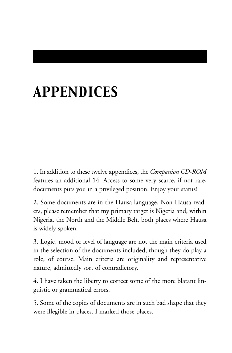# *APPENDICES*

1. In addition to these twelve appendices, the *Companion CD-ROM* features an additional 14. Access to some very scarce, if not rare, documents puts you in a privileged position. Enjoy your status!

2. Some documents are in the Hausa language. Non-Hausa readers, please remember that my primary target is Nigeria and, within Nigeria, the North and the Middle Belt, both places where Hausa is widely spoken.

3. Logic, mood or level of language are not the main criteria used in the selection of the documents included, though they do play a role, of course. Main criteria are originality and representative nature, admittedly sort of contradictory.

4. I have taken the liberty to correct some of the more blatant linguistic or grammatical errors.

5. Some of the copies of documents are in such bad shape that they were illegible in places. I marked those places.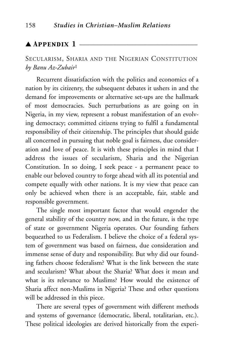# $\blacktriangle$  Appendix 1  $\perp$

SECULARISM, SHARIA AND THE NIGERIAN CONSTITUTION *by Banu Az-Zubair*<sup>1</sup>

Recurrent dissatisfaction with the politics and economics of a nation by its citizenry, the subsequent debates it ushers in and the demand for improvements or alternative set-ups are the hallmark of most democracies. Such perturbations as are going on in Nigeria, in my view, represent a robust manifestation of an evolving democracy; committed citizens trying to fulfil a fundamental responsibility of their citizenship. The principles that should guide all concerned in pursuing that noble goal is fairness, due consideration and love of peace. It is with these principles in mind that I address the issues of secularism, Sharia and the Nigerian Constitution. In so doing, I seek peace - a permanent peace to enable our beloved country to forge ahead with all its potential and compete equally with other nations. It is my view that peace can only be achieved when there is an acceptable, fair, stable and responsible government.

The single most important factor that would engender the general stability of the country now, and in the future, is the type of state or government Nigeria operates. Our founding fathers bequeathed to us Federalism. I believe the choice of a federal system of government was based on fairness, due consideration and immense sense of duty and responsibility. But why did our founding fathers choose federalism? What is the link between the state and secularism? What about the Sharia? What does it mean and what is its relevance to Muslims? How would the existence of Sharia affect non-Muslims in Nigeria? These and other questions will be addressed in this piece.

There are several types of government with different methods and systems of governance (democratic, liberal, totalitarian, etc.). These political ideologies are derived historically from the experi-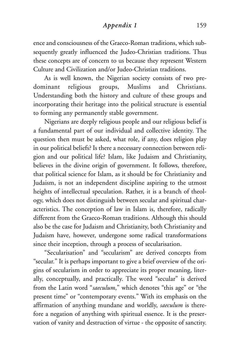#### *Appendix 1* 159

ence and consciousness of the Graeco-Roman traditions, which subsequently greatly influenced the Judeo-Christian traditions. Thus these concepts are of concern to us because they represent Western Culture and Civilization and/or Judeo-Christian traditions.

As is well known, the Nigerian society consists of two predominant religious groups, Muslims and Christians. Understanding both the history and culture of these groups and incorporating their heritage into the political structure is essential to forming any permanently stable government.

Nigerians are deeply religious people and our religious belief is a fundamental part of our individual and collective identity. The question then must be asked, what role, if any, does religion play in our political beliefs? Is there a necessary connection between religion and our political life? Islam, like Judaism and Christianity, believes in the divine origin of government. It follows, therefore, that political science for Islam, as it should be for Christianity and Judaism, is not an independent discipline aspiring to the utmost heights of intellectual speculation. Rather, it is a branch of theology, which does not distinguish between secular and spiritual characteristics. The conception of law in Islam is, therefore, radically different from the Graeco-Roman traditions. Although this should also be the case for Judaism and Christianity, both Christianity and Judaism have, however, undergone some radical transformations since their inception, through a process of secularisation.

"Secularisation" and "secularism" are derived concepts from "secular." It is perhaps important to give a brief overview of the origins of secularism in order to appreciate its proper meaning, literally, conceptually, and practically. The word "secular" is derived from the Latin word "*saeculum*," which denotes "this age" or "the present time" or "contemporary events." With its emphasis on the affirmation of anything mundane and worldly, *saeculum* is therefore a negation of anything with spiritual essence. It is the preservation of vanity and destruction of virtue - the opposite of sanctity.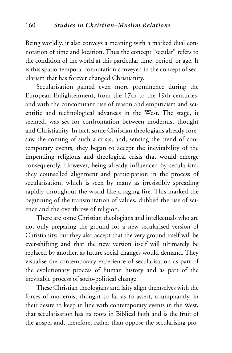Being worldly, it also conveys a meaning with a marked dual connotation of time and location. Thus the concept "secular" refers to the condition of the world at this particular time, period, or age. It is this spatio-temporal connotation conveyed in the concept of secularism that has forever changed Christianity.

Secularisation gained even more prominence during the European Enlightenment, from the 17th to the 19th centuries, and with the concomitant rise of reason and empiricism and scientific and technological advances in the West. The stage, it seemed, was set for confrontation between modernist thought and Christianity. In fact, some Christian theologians already foresaw the coming of such a crisis, and, sensing the trend of contemporary events, they began to accept the inevitability of the impending religious and theological crisis that would emerge consequently. However, being already influenced by secularism, they counselled alignment and participation in the process of secularisation, which is seen by many as irresistibly spreading rapidly throughout the world like a raging fire. This marked the beginning of the transmutation of values, dubbed the rise of science and the overthrow of religion.

There are some Christian theologians and intellectuals who are not only preparing the ground for a new secularised version of Christianity, but they also accept that the very ground itself will be ever-shifting and that the new version itself will ultimately be replaced by another, as future social changes would demand. They visualise the contemporary experience of secularisation as part of the evolutionary process of human history and as part of the inevitable process of socio-political change.

These Christian theologians and laity align themselves with the forces of modernist thought so far as to assert, triumphantly, in their desire to keep in line with contemporary events in the West, that secularisation has its roots in Biblical faith and is the fruit of the gospel and, therefore, rather than oppose the secularising pro-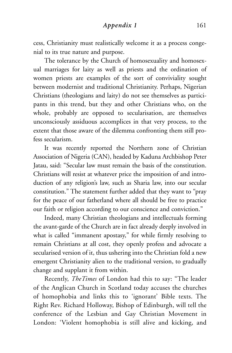#### *Appendix 1* 161

cess, Christianity must realistically welcome it as a process congenial to its true nature and purpose.

The tolerance by the Church of homosexuality and homosexual marriages for laity as well as priests and the ordination of women priests are examples of the sort of conviviality sought between modernist and traditional Christianity. Perhaps, Nigerian Christians (theologians and laity) do not see themselves as participants in this trend, but they and other Christians who, on the whole, probably are opposed to secularisation, are themselves unconsciously assiduous accomplices in that very process, to the extent that those aware of the dilemma confronting them still profess secularism.

It was recently reported the Northern zone of Christian Association of Nigeria (CAN), headed by Kaduna Archbishop Peter Jatau, said: "Secular law must remain the basis of the constitution. Christians will resist at whatever price the imposition of and introduction of any religion's law, such as Sharia law, into our secular constitution." The statement further added that they want to "pray for the peace of our fatherland where all should be free to practice our faith or religion according to our conscience and conviction."

Indeed, many Christian theologians and intellectuals forming the avant-garde of the Church are in fact already deeply involved in what is called "immanent apostasy," for while firmly resolving to remain Christians at all cost, they openly profess and advocate a secularised version of it, thus ushering into the Christian fold a new emergent Christianity alien to the traditional version, to gradually change and supplant it from within.

Recently, *TheTimes* of London had this to say: "The leader of the Anglican Church in Scotland today accuses the churches of homophobia and links this to 'ignorant' Bible texts. The Right Rev. Richard Holloway, Bishop of Edinburgh, will tell the conference of the Lesbian and Gay Christian Movement in London: 'Violent homophobia is still alive and kicking, and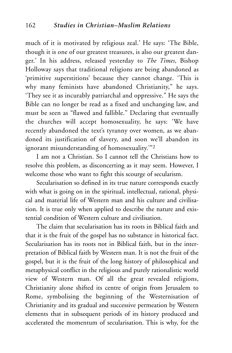much of it is motivated by religious zeal.' He says: 'The Bible, though it is one of our greatest treasures, is also our greatest danger.' In his address, released yesterday to *The Times*, Bishop Holloway says that traditional religions are being abandoned as 'primitive superstitions' because they cannot change. 'This is why many feminists have abandoned Christianity," he says. 'They see it as incurably patriarchal and oppressive." He says the Bible can no longer be read as a fixed and unchanging law, and must be seen as "flawed and fallible." Declaring that eventually the churches will accept homosexuality, he says: 'We have recently abandoned the text's tyranny over women, as we abandoned its justification of slavery, and soon we'll abandon its ignorant misunderstanding of homosexuality.'"2

I am not a Christian. So I cannot tell the Christians how to resolve this problem, as disconcerting as it may seem. However, I welcome those who want to fight this scourge of secularism.

Secularisation so defined in its true nature corresponds exactly with what is going on in the spiritual, intellectual, rational, physical and material life of Western man and his culture and civilisation. It is true only when applied to describe the nature and existential condition of Western culture and civilisation.

The claim that secularisation has its roots in Biblical faith and that it is the fruit of the gospel has no substance in historical fact. Secularisation has its roots not in Biblical faith, but in the interpretation of Biblical faith by Western man. It is not the fruit of the gospel, but it is the fruit of the long history of philosophical and metaphysical conflict in the religious and purely rationalistic world view of Western man. Of all the great revealed religions, Christianity alone shifted its centre of origin from Jerusalem to Rome, symbolising the beginning of the Westernisation of Christianity and its gradual and successive permeation by Western elements that in subsequent periods of its history produced and accelerated the momentum of secularisation. This is why, for the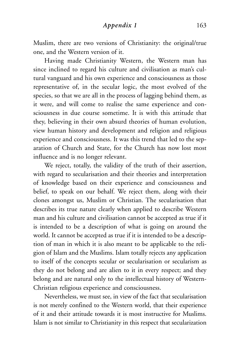Muslim, there are two versions of Christianity: the original/true one, and the Western version of it.

Having made Christianity Western, the Western man has since inclined to regard his culture and civilisation as man's cultural vanguard and his own experience and consciousness as those representative of, in the secular logic, the most evolved of the species, so that we are all in the process of lagging behind them, as it were, and will come to realise the same experience and consciousness in due course sometime. It is with this attitude that they, believing in their own absurd theories of human evolution, view human history and development and religion and religious experience and consciousness. It was this trend that led to the separation of Church and State, for the Church has now lost most influence and is no longer relevant.

We reject, totally, the validity of the truth of their assertion, with regard to secularisation and their theories and interpretation of knowledge based on their experience and consciousness and belief, to speak on our behalf. We reject them, along with their clones amongst us, Muslim or Christian. The secularisation that describes its true nature clearly when applied to describe Western man and his culture and civilisation cannot be accepted as true if it is intended to be a description of what is going on around the world. It cannot be accepted as true if it is intended to be a description of man in which it is also meant to be applicable to the religion of Islam and the Muslims. Islam totally rejects any application to itself of the concepts secular or secularisation or secularism as they do not belong and are alien to it in every respect; and they belong and are natural only to the intellectual history of Western-Christian religious experience and consciousness.

Nevertheless, we must see, in view of the fact that secularisation is not merely confined to the Western world, that their experience of it and their attitude towards it is most instructive for Muslims. Islam is not similar to Christianity in this respect that secularization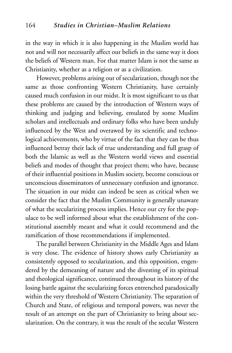in the way in which it is also happening in the Muslim world has not and will not necessarily affect our beliefs in the same way it does the beliefs of Western man. For that matter Islam is not the same as Christianity, whether as a religion or as a civilization.

However, problems arising out of secularization, though not the same as those confronting Western Christianity, have certainly caused much confusion in our midst. It is most significant to us that these problems are caused by the introduction of Western ways of thinking and judging and believing, emulated by some Muslim scholars and intellectuals and ordinary folks who have been unduly influenced by the West and overawed by its scientific and technological achievements, who by virtue of the fact that they can be thus influenced betray their lack of true understanding and full grasp of both the Islamic as well as the Western world views and essential beliefs and modes of thought that project them; who have, because of their influential positions in Muslim society, become conscious or unconscious disseminators of unnecessary confusion and ignorance. The situation in our midst can indeed be seen as critical when we consider the fact that the Muslim Community is generally unaware of what the secularizing process implies. Hence our cry for the populace to be well informed about what the establishment of the constitutional assembly meant and what it could recommend and the ramification of those recommendations if implemented.

The parallel between Christianity in the Middle Ages and Islam is very close. The evidence of history shows early Christianity as consistently opposed to secularization, and this opposition, engendered by the demeaning of nature and the divesting of its spiritual and theological significance, continued throughout its history of the losing battle against the secularizing forces entrenched paradoxically within the very threshold of Western Christianity. The separation of Church and State, of religious and temporal powers, was never the result of an attempt on the part of Christianity to bring about secularization. On the contrary, it was the result of the secular Western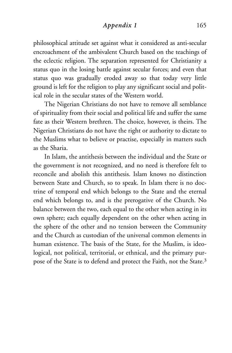## *Appendix 1* 165

philosophical attitude set against what it considered as anti-secular encroachment of the ambivalent Church based on the teachings of the eclectic religion. The separation represented for Christianity a status quo in the losing battle against secular forces; and even that status quo was gradually eroded away so that today very little ground is left for the religion to play any significant social and political role in the secular states of the Western world.

The Nigerian Christians do not have to remove all semblance of spirituality from their social and political life and suffer the same fate as their Western brethren. The choice, however, is theirs. The Nigerian Christians do not have the right or authority to dictate to the Muslims what to believe or practise, especially in matters such as the Sharia.

In Islam, the antithesis between the individual and the State or the government is not recognized, and no need is therefore felt to reconcile and abolish this antithesis. Islam knows no distinction between State and Church, so to speak. In Islam there is no doctrine of temporal end which belongs to the State and the eternal end which belongs to, and is the prerogative of the Church. No balance between the two, each equal to the other when acting in its own sphere; each equally dependent on the other when acting in the sphere of the other and no tension between the Community and the Church as custodian of the universal common elements in human existence. The basis of the State, for the Muslim, is ideological, not political, territorial, or ethnical, and the primary purpose of the State is to defend and protect the Faith, not the State.3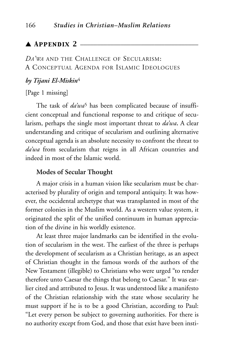# $\blacktriangle$  Appendix 2  $\equiv$

*DA'WA* AND THE CHALLENGE OF SECULARISM: A CONCEPTUAL AGENDA FOR ISLAMIC IDEOLOGUES

## *by Tijani El-Miskin*<sup>4</sup>

#### [Page 1 missing]

The task of  $d\vec{a'}w\vec{a}$ <sup>5</sup> has been complicated because of insufficient conceptual and functional response to and critique of secularism, perhaps the single most important threat to *da'wa***.** A clear understanding and critique of secularism and outlining alternative conceptual agenda is an absolute necessity to confront the threat to *da'wa* from secularism that reigns in all African countries and indeed in most of the Islamic world.

## **Modes of Secular Thought**

A major crisis in a human vision like secularism must be characterised by plurality of origin and temporal antiquity. It was however, the occidental archetype that was transplanted in most of the former colonies in the Muslim world. As a western value system, it originated the split of the unified continuum in human appreciation of the divine in his worldly existence.

At least three major landmarks can be identified in the evolution of secularism in the west. The earliest of the three is perhaps the development of secularism as a Christian heritage, as an aspect of Christian thought in the famous words of the authors of the New Testament (illegible) to Christians who were urged "to render therefore unto Caesar the things that belong to Caesar." It was earlier cited and attributed to Jesus. It was understood like a manifesto of the Christian relationship with the state whose secularity he must support if he is to be a good Christian, according to Paul: "Let every person be subject to governing authorities. For there is no authority except from God, and those that exist have been insti-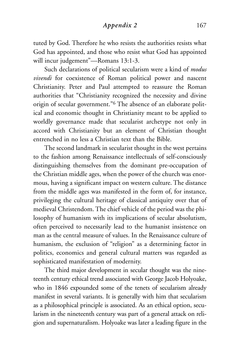## *Appendix 2* 167

tuted by God. Therefore he who resists the authorities resists what God has appointed, and those who resist what God has appointed will incur judgement"—Romans 13:1-3.

Such declarations of political secularism were a kind of *modus vivendi* for coexistence of Roman political power and nascent Christianity. Peter and Paul attempted to reassure the Roman authorities that "Christianity recognized the necessity and divine origin of secular government."6 The absence of an elaborate political and economic thought in Christianity meant to be applied to worldly governance made that secularist archetype not only in accord with Christianity but an element of Christian thought entrenched in no less a Christian text than the Bible.

The second landmark in secularist thought in the west pertains to the fashion among Renaissance intellectuals of self-consciously distinguishing themselves from the dominant pre-occupation of the Christian middle ages, when the power of the church was enormous, having a significant impact on western culture. The distance from the middle ages was manifested in the form of, for instance, privileging the cultural heritage of classical antiquity over that of medieval Christendom. The chief vehicle of the period was the philosophy of humanism with its implications of secular absolutism, often perceived to necessarily lead to the humanist insistence on man as the central measure of values. In the Renaissance culture of humanism, the exclusion of "religion" as a determining factor in politics, economics and general cultural matters was regarded as sophisticated manifestation of modernity.

The third major development in secular thought was the nineteenth century ethical trend associated with George Jacob Holyoake, who in 1846 expounded some of the tenets of secularism already manifest in several variants. It is generally with him that secularism as a philosophical principle is associated. As an ethical option, secularism in the nineteenth century was part of a general attack on religion and supernaturalism. Holyoake was later a leading figure in the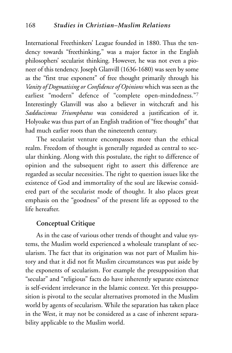International Freethinkers' League founded in 1880. Thus the tendency towards "freethinking," was a major factor in the English philosophers' secularist thinking. However, he was not even a pioneer of this tendency. Joseph Glanvill (1636-1680) was seen by some as the "first true exponent" of free thought primarily through his *Vanity of Dogmatising or Confidence of Opinions* which was seen as the earliest "modern" defence of "complete open-mindedness."7 Interestingly Glanvill was also a believer in witchcraft and his *Sadducismus Triumphatus* was considered a justification of it. Holyoake was thus part of an English tradition of "free thought" that had much earlier roots than the nineteenth century.

The secularist venture encompasses more than the ethical realm. Freedom of thought is generally regarded as central to secular thinking. Along with this postulate, the right to difference of opinion and the subsequent right to assert this difference are regarded as secular necessities. The right to question issues like the existence of God and immortality of the soul are likewise considered part of the secularist mode of thought. It also places great emphasis on the "goodness" of the present life as opposed to the life hereafter.

# **Conceptual Critique**

As in the case of various other trends of thought and value systems, the Muslim world experienced a wholesale transplant of secularism. The fact that its origination was not part of Muslim history and that it did not fit Muslim circumstances was put aside by the exponents of secularism. For example the presupposition that "secular" and "religious" facts do have inherently separate existence is self-evident irrelevance in the Islamic context. Yet this presupposition is pivotal to the secular alternatives promoted in the Muslim world by agents of secularism. While the separation has taken place in the West, it may not be considered as a case of inherent separability applicable to the Muslim world.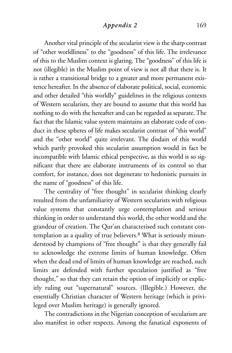## *Appendix 2* 169

Another vital principle of the secularist view is the sharp contrast of "other worldliness" to the "goodness" of this life. The irrelevance of this to the Muslim context is glaring. The "goodness" of this life is not (illegible) in the Muslim point of view is not all that there is. It is rather a transitional bridge to a greater and more permanent existence hereafter. In the absence of elaborate political, social, economic and other detailed "this worldly" guidelines in the religious contexts of Western secularists, they are bound to assume that this world has nothing to do with the hereafter and can be regarded as separate. The fact that the Islamic value system maintains an elaborate code of conduct in these spheres of life makes secularist contrast of "this world" and the "other world" quite irrelevant. The disdain of this world which partly provoked this secularist assumption would in fact be incompatible with Islamic ethical perspective, as this world is so significant that there are elaborate instruments of its control so that comfort, for instance, does not degenerate to hedonistic pursuits in the name of "goodness" of this life.

The centrality of "free thought" in secularist thinking clearly resulted from the unfamiliarity of Western secularists with religious value systems that constantly urge contemplation and serious thinking in order to understand this world, the other world and the grandeur of creation. The Qur'an characterised such constant contemplation as a quality of true believers.8 What is seriously misunderstood by champions of "free thought" is that they generally fail to acknowledge the extreme limits of human knowledge. Often when the dead end of limits of human knowledge are reached, such limits are defended with further speculation justified as "free thought," so that they can retain the option of implicitly or explicitly ruling out "supernatural" sources. (Illegible.) However, the essentially Christian character of Western heritage (which is privileged over Muslim heritage) is generally ignored.

The contradictions in the Nigerian conception of secularism are also manifest in other respects. Among the fanatical exponents of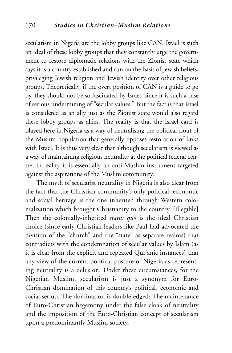secularism in Nigeria are the lobby groups like CAN. Israel is such an ideal of these lobby groups that they constantly urge the government to restore diplomatic relations with the Zionist state which says it is a country established and run on the basis of Jewish beliefs, privileging Jewish religion and Jewish identity over other religious groups. Theoretically, if the overt position of CAN is a guide to go by, they should not be so fascinated by Israel, since it is such a case of serious undermining of "secular values." But the fact is that Israel is considered as an ally just as the Zionist state would also regard these lobby groups as allies. The reality is that the Israel card is played here in Nigeria as a way of neutralising the political clout of the Muslim population that generally opposes restoration of links with Israel. It is thus very clear that although secularism is viewed as a way of maintaining religious neutrality at the political federal centre, in reality it is essentially an anti-Muslim instrument targeted against the aspirations of the Muslim community.

The myth of secularist neutrality in Nigeria is also clear from the fact that the Christian community's only political, economic and social heritage is the one inherited through Western colonialization which brought Christianity to the country. [Illegible] Then the colonially-inherited *status quo* is the ideal Christian choice (since early Christian leaders like Paul had advocated the division of the "church" and the "state" as separate realms) that contradicts with the condemnation of secular values by Islam (as it is clear from the explicit and repeated Qur'anic instances) that any view of the current political posture of Nigeria as representing neutrality is a delusion. Under these circumstances, for the Nigerian Muslim, secularism is just a synonym for Euro-Christian domination of this country's political, economic and social set up. The domination is double-edged: The maintenance of Euro-Christian hegemony under the false cloak of neutrality and the imposition of the Euro-Christian concept of secularism upon a predominantly Muslim society.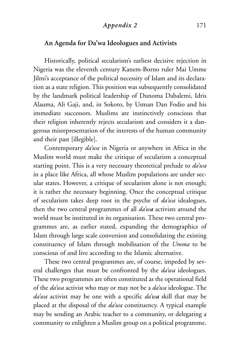# *Appendix 2* 171

# **An Agenda for Da'wa Ideologues and Activists**

Historically, political secularism's earliest decisive rejection in Nigeria was the eleventh century Kanem-Borno ruler Mai Umme Jilmi's acceptance of the political necessity of Islam and its declaration as a state religion. This position was subsequently consolidated by the landmark political leadership of Dunoma Dabalemi, Idris Alauma, Ali Gaji, and, in Sokoto, by Usman Dan Fodio and his immediate successors. Muslims are instinctively conscious that their religion inherently rejects secularism and considers it a dangerous misrepresentation of the interests of the human community and their past [illegible].

Contemporary *da'wa* in Nigeria or anywhere in Africa in the Muslim world must make the critique of secularism a conceptual starting point. This is a very necessary theoretical prelude to *da'wa* in a place like Africa, all whose Muslim populations are under secular states. However, a critique of secularism alone is not enough; it is rather the necessary beginning. Once the conceptual critique of secularism takes deep root in the psyche of *da'wa* idealogues, then the two central programmes of all *da'wa* activists around the world must be instituted in its organisation. These two central programmes are, as earlier stated, expanding the demographics of Islam through large scale conversion and consolidating the existing constituency of Islam through mobilisation of the *Umma* to be conscious of and live according to the Islamic alternative.

These two central programmes are, of course, impeded by several challenges that must be confronted by the *da'wa* ideologues. These two programmes are often constituted as the operational field of the *da'wa* activist who may or may not be a *da'wa* ideologue. The *da'wa* activist may be one with a specific *da'wa* skill that may be placed at the disposal of the *da'wa* constituency. A typical example may be sending an Arabic teacher to a community, or delegating a community to enlighten a Muslim group on a political programme.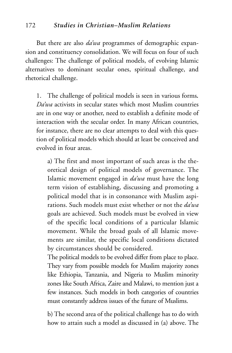# 172 *Studies in Christian–Muslim Relations*

But there are also *da'wa* programmes of demographic expansion and constituency consolidation. We will focus on four of such challenges: The challenge of political models, of evolving Islamic alternatives to dominant secular ones, spiritual challenge, and rhetorical challenge.

1. The challenge of political models is seen in various forms*. Da'wa* activists in secular states which most Muslim countries are in one way or another, need to establish a definite mode of interaction with the secular order. In many African countries, for instance, there are no clear attempts to deal with this question of political models which should at least be conceived and evolved in four areas.

a) The first and most important of such areas is the theoretical design of political models of governance. The Islamic movement engaged in *da'wa* must have the long term vision of establishing, discussing and promoting a political model that is in consonance with Muslim aspirations. Such models must exist whether or not the *da'wa* goals are achieved. Such models must be evolved in view of the specific local conditions of a particular Islamic movement. While the broad goals of all Islamic movements are similar, the specific local conditions dictated by circumstances should be considered.

The political models to be evolved differ from place to place. They vary from possible models for Muslim majority zones like Ethiopia, Tanzania, and Nigeria to Muslim minority zones like South Africa, Zaire and Malawi, to mention just a few instances. Such models in both categories of countries must constantly address issues of the future of Muslims.

b) The second area of the political challenge has to do with how to attain such a model as discussed in (a) above. The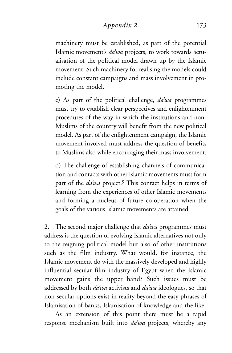# *Appendix 2* 173

machinery must be established, as part of the potential Islamic movement's *da'wa* projects, to work towards actualisation of the political model drawn up by the Islamic movement. Such machinery for realising the models could include constant campaigns and mass involvement in promoting the model.

c) As part of the political challenge, *da'wa* programmes must try to establish clear perspectives and enlightenment procedures of the way in which the institutions and non-Muslims of the country will benefit from the new political model. As part of the enlightenment campaign, the Islamic movement involved must address the question of benefits to Muslims also while encouraging their mass involvement.

d) The challenge of establishing channels of communication and contacts with other Islamic movements must form part of the *da'wa* project.9 This contact helps in terms of learning from the experiences of other Islamic movements and forming a nucleus of future co-operation when the goals of the various Islamic movements are attained.

2. The second major challenge that *da'wa* programmes must address is the question of evolving Islamic alternatives not only to the reigning political model but also of other institutions such as the film industry. What would, for instance, the Islamic movement do with the massively developed and highly influential secular film industry of Egypt when the Islamic movement gains the upper hand? Such issues must be addressed by both *da'wa* activists and *da'wa* ideologues, so that non-secular options exist in reality beyond the easy phrases of Islamisation of banks, Islamisation of knowledge and the like.

As an extension of this point there must be a rapid response mechanism built into *da'wa* projects, whereby any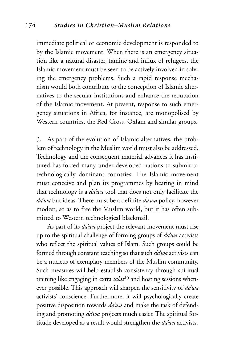immediate political or economic development is responded to by the Islamic movement. When there is an emergency situation like a natural disaster, famine and influx of refugees, the Islamic movement must be seen to be actively involved in solving the emergency problems. Such a rapid response mechanism would both contribute to the conception of Islamic alternatives to the secular institutions and enhance the reputation of the Islamic movement. At present, response to such emergency situations in Africa, for instance, are monopolised by Western countries, the Red Cross, Oxfam and similar groups.

3. As part of the evolution of Islamic alternatives, the problem of technology in the Muslim world must also be addressed. Technology and the consequent material advances it has instituted has forced many under-developed nations to submit to technologically dominant countries. The Islamic movement must conceive and plan its programmes by bearing in mind that technology is a *da'wa* tool that does not only facilitate the *da'wa* but ideas. There must be a definite *da'wa* policy, however modest, so as to free the Muslim world, but it has often submitted to Western technological blackmail.

As part of its *da'wa* project the relevant movement must rise up to the spiritual challenge of forming groups of *da'wa* activists who reflect the spiritual values of Islam. Such groups could be formed through constant teaching so that such *da'wa* activists can be a nucleus of exemplary members of the Muslim community. Such measures will help establish consistency through spiritual training like engaging in extra *salat*<sup>10</sup> and hosting sessions whenever possible. This approach will sharpen the sensitivity of *da'wa* activists' conscience. Furthermore, it will psychologically create positive disposition towards *da'wa* and make the task of defending and promoting *da'wa* projects much easier. The spiritual fortitude developed as a result would strengthen the *da'wa* activists.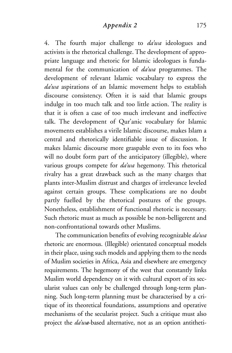## *Appendix 2* 175

4. The fourth major challenge to *da'wa* ideologues and activists is the rhetorical challenge. The development of appropriate language and rhetoric for Islamic ideologues is fundamental for the communication of *da'wa* programmes. The development of relevant Islamic vocabulary to express the *da'wa* aspirations of an Islamic movement helps to establish discourse consistency. Often it is said that Islamic groups indulge in too much talk and too little action. The reality is that it is often a case of too much irrelevant and ineffective talk. The development of Qur'anic vocabulary for Islamic movements establishes a virile Islamic discourse, makes Islam a central and rhetorically identifiable issue of discussion. It makes Islamic discourse more graspable even to its foes who will no doubt form part of the anticipatory (illegible), where various groups compete for *da'wa* hegemony. This rhetorical rivalry has a great drawback such as the many charges that plants inter-Muslim distrust and charges of irrelevance leveled against certain groups. These complications are no doubt partly fuelled by the rhetorical postures of the groups. Nonetheless, establishment of functional rhetoric is necessary. Such rhetoric must as much as possible be non-belligerent and non-confrontational towards other Muslims.

The communication benefits of evolving recognizable *da'wa* rhetoric are enormous. (Illegible) orientated conceptual models in their place, using such models and applying them to the needs of Muslim societies in Africa, Asia and elsewhere are emergency requirements. The hegemony of the west that constantly links Muslim world dependency on it with cultural export of its secularist values can only be challenged through long-term planning. Such long-term planning must be characterised by a critique of its theoretical foundations, assumptions and operative mechanisms of the secularist project. Such a critique must also project the *da'wa*-based alternative, not as an option antitheti-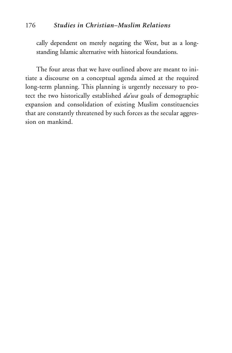# 176 *Studies in Christian–Muslim Relations*

cally dependent on merely negating the West, but as a longstanding Islamic alternative with historical foundations.

The four areas that we have outlined above are meant to initiate a discourse on a conceptual agenda aimed at the required long-term planning. This planning is urgently necessary to protect the two historically established *da'wa* goals of demographic expansion and consolidation of existing Muslim constituencies that are constantly threatened by such forces as the secular aggression on mankind.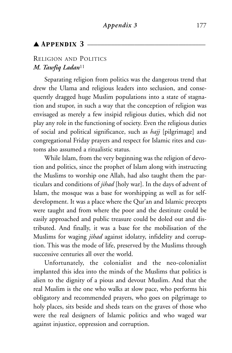# $\blacktriangle$  APPENDIX 3  $\equiv$

# RELIGION AND POLITICS *M. Tawfiq Ladan*<sup>11</sup>

Separating religion from politics was the dangerous trend that drew the Ulama and religious leaders into seclusion, and consequently dragged huge Muslim populations into a state of stagnation and stupor, in such a way that the conception of religion was envisaged as merely a few insipid religious duties, which did not play any role in the functioning of society. Even the religious duties of social and political significance, such as *hajj* [pilgrimage] and congregational Friday prayers and respect for Islamic rites and customs also assumed a ritualistic status.

While Islam, from the very beginning was the religion of devotion and politics, since the prophet of Islam along with instructing the Muslims to worship one Allah, had also taught them the particulars and conditions of *jihad* [holy war]. In the days of advent of Islam, the mosque was a base for worshipping as well as for selfdevelopment. It was a place where the Qur'an and Islamic precepts were taught and from where the poor and the destitute could be easily approached and public treasure could be doled out and distributed. And finally, it was a base for the mobilisation of the Muslims for waging *jihad* against idolatry, infidelity and corruption. This was the mode of life, preserved by the Muslims through successive centuries all over the world.

Unfortunately, the colonialist and the neo-colonialist implanted this idea into the minds of the Muslims that politics is alien to the dignity of a pious and devout Muslim. And that the real Muslim is the one who walks at slow pace, who performs his obligatory and recommended prayers, who goes on pilgrimage to holy places, sits beside and sheds tears on the graves of those who were the real designers of Islamic politics and who waged war against injustice, oppression and corruption.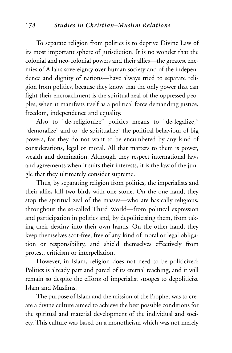To separate religion from politics is to deprive Divine Law of its most important sphere of jurisdiction. It is no wonder that the colonial and neo-colonial powers and their allies—the greatest enemies of Allah's sovereignty over human society and of the independence and dignity of nations—have always tried to separate religion from politics, because they know that the only power that can fight their encroachment is the spiritual zeal of the oppressed peoples, when it manifests itself as a political force demanding justice, freedom, independence and equality.

Also to "de-religionize" politics means to "de-legalize," "demoralize" and to "de-spiritualize" the political behaviour of big powers, for they do not want to be encumbered by any kind of considerations, legal or moral. All that matters to them is power, wealth and domination. Although they respect international laws and agreements when it suits their interests, it is the law of the jungle that they ultimately consider supreme.

Thus, by separating religion from politics, the imperialists and their allies kill two birds with one stone. On the one hand, they stop the spiritual zeal of the masses—who are basically religious, throughout the so-called Third World—from political expression and participation in politics and, by depoliticising them, from taking their destiny into their own hands. On the other hand, they keep themselves scot-free, free of any kind of moral or legal obligation or responsibility, and shield themselves effectively from protest, criticism or interpellation.

However, in Islam, religion does not need to be politicized: Politics is already part and parcel of its eternal teaching, and it will remain so despite the efforts of imperialist stooges to depoliticize Islam and Muslims.

The purpose of Islam and the mission of the Prophet was to create a divine culture aimed to achieve the best possible conditions for the spiritual and material development of the individual and society. This culture was based on a monotheism which was not merely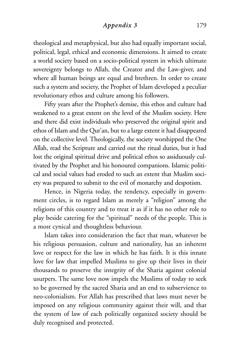## *Appendix 3* 179

theological and metaphysical, but also had equally important social, political, legal, ethical and economic dimensions. It aimed to create a world society based on a socio-political system in which ultimate sovereignty belongs to Allah, the Creator and the Law-giver, and where all human beings are equal and brethren. In order to create such a system and society, the Prophet of Islam developed a peculiar revolutionary ethos and culture among his followers.

Fifty years after the Prophet's demise, this ethos and culture had weakened to a great extent on the level of the Muslim society. Here and there did exist individuals who preserved the original spirit and ethos of Islam and the Qur'an, but to a large extent it had disappeared on the collective level. Theologically, the society worshipped the One Allah, read the Scripture and carried out the ritual duties, but it had lost the original spiritual drive and political ethos so assiduously cultivated by the Prophet and his honoured companions. Islamic political and social values had eroded to such an extent that Muslim society was prepared to submit to the evil of monarchy and despotism.

Hence, in Nigeria today, the tendency, especially in government circles, is to regard Islam as merely a "religion" among the religions of this country and to treat it as if it has no other role to play beside catering for the "spiritual" needs of the people. This is a most cynical and thoughtless behaviour.

Islam takes into consideration the fact that man, whatever be his religious persuasion, culture and nationality, has an inherent love or respect for the law in which he has faith. It is this innate love for law that impelled Muslims to give up their lives in their thousands to preserve the integrity of the Sharia against colonial usurpers. The same love now impels the Muslims of today to seek to be governed by the sacred Sharia and an end to subservience to neo-colonialism. For Allah has prescribed that laws must never be imposed on any religious community against their will, and that the system of law of each politically organized society should be duly recognised and protected.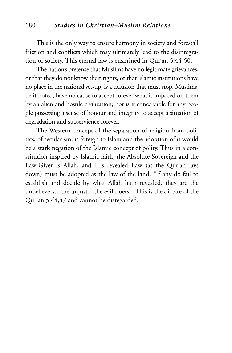#### 180 *Studies in Christian–Muslim Relations*

This is the only way to ensure harmony in society and forestall friction and conflicts which may ultimately lead to the disintegration of society. This eternal law is enshrined in Qur'an 5:44-50.

The nation's pretense that Muslims have no legitimate grievances, or that they do not know their rights, or that Islamic institutions have no place in the national set-up, is a delusion that must stop. Muslims, be it noted, have no cause to accept forever what is imposed on them by an alien and hostile civilization; nor is it conceivable for any people possessing a sense of honour and integrity to accept a situation of degradation and subservience forever.

The Western concept of the separation of religion from politics, of secularism, is foreign to Islam and the adoption of it would be a stark negation of the Islamic concept of polity. Thus in a constitution inspired by Islamic faith, the Absolute Sovereign and the Law-Giver is Allah, and His revealed Law (as the Qur'an lays down) must be adopted as the law of the land. "If any do fail to establish and decide by what Allah hath revealed, they are the unbelievers…the unjust…the evil-doers." This is the dictate of the Qur'an 5:44,47 and cannot be disregarded.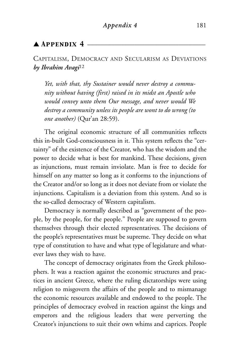# $\blacktriangle$  Appendix 4.

# CAPITALISM, DEMOCRACY AND SECULARISM AS DEVIATIONS *by Ibrahim Avagi*<sup>12</sup>

*Yet, with that, thy Sustainer would never destroy a community without having (first) raised in its midst an Apostle who would convey unto them Our message, and never would We destroy a community unless its people are wont to do wrong (to one another)* (Qur'an 28:59).

The original economic structure of all communities reflects this in-built God-consciousness in it. This system reflects the "certainty" of the existence of the Creator, who has the wisdom and the power to decide what is best for mankind. These decisions, given as injunctions, must remain inviolate. Man is free to decide for himself on any matter so long as it conforms to the injunctions of the Creator and/or so long as it does not deviate from or violate the injunctions. Capitalism is a deviation from this system. And so is the so-called democracy of Western capitalism.

Democracy is normally described as "government of the people, by the people, for the people." People are supposed to govern themselves through their elected representatives. The decisions of the people's representatives must be supreme. They decide on what type of constitution to have and what type of legislature and whatever laws they wish to have.

The concept of democracy originates from the Greek philosophers. It was a reaction against the economic structures and practices in ancient Greece, where the ruling dictatorships were using religion to misgovern the affairs of the people and to mismanage the economic resources available and endowed to the people. The principles of democracy evolved in reaction against the kings and emperors and the religious leaders that were perverting the Creator's injunctions to suit their own whims and caprices. People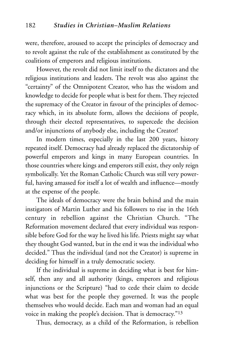were, therefore, aroused to accept the principles of democracy and to revolt against the rule of the establishment as constituted by the coalitions of emperors and religious institutions.

However, the revolt did not limit itself to the dictators and the religious institutions and leaders. The revolt was also against the "certainty" of the Omnipotent Creator, who has the wisdom and knowledge to decide for people what is best for them. They rejected the supremacy of the Creator in favour of the principles of democracy which, in its absolute form, allows the decisions of people, through their elected representatives, to supercede the decision and/or injunctions of anybody else, including the Creator!

In modern times, especially in the last 200 years, history repeated itself. Democracy had already replaced the dictatorship of powerful emperors and kings in many European countries. In those countries where kings and emperors still exist, they only reign symbolically. Yet the Roman Catholic Church was still very powerful, having amassed for itself a lot of wealth and influence—mostly at the expense of the people.

The ideals of democracy were the brain behind and the main instigators of Martin Luther and his followers to rise in the 16th century in rebellion against the Christian Church. "The Reformation movement declared that every individual was responsible before God for the way he lived his life. Priests might say what they thought God wanted, but in the end it was the individual who decided." Thus the individual (and not the Creator) is supreme in deciding for himself in a truly democratic society.

If the individual is supreme in deciding what is best for himself, then any and all authority (kings, emperors and religious injunctions or the Scripture) "had to cede their claim to decide what was best for the people they governed. It was the people themselves who would decide. Each man and woman had an equal voice in making the people's decision. That is democracy."13

Thus, democracy, as a child of the Reformation, is rebellion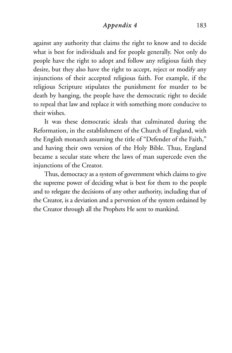#### *Appendix 4* 183

against any authority that claims the right to know and to decide what is best for individuals and for people generally. Not only do people have the right to adopt and follow any religious faith they desire, but they also have the right to accept, reject or modify any injunctions of their accepted religious faith. For example, if the religious Scripture stipulates the punishment for murder to be death by hanging, the people have the democratic right to decide to repeal that law and replace it with something more conducive to their wishes.

It was these democratic ideals that culminated during the Reformation, in the establishment of the Church of England, with the English monarch assuming the title of "Defender of the Faith," and having their own version of the Holy Bible. Thus, England became a secular state where the laws of man supercede even the injunctions of the Creator.

Thus, democracy as a system of government which claims to give the supreme power of deciding what is best for them to the people and to relegate the decisions of any other authority, including that of the Creator, is a deviation and a perversion of the system ordained by the Creator through all the Prophets He sent to mankind.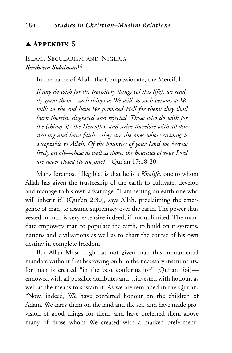# $\blacktriangle$  Appendix 5  $-$

# ISLAM, SECULARISM AND NIGERIA *Ibraheem Sulaiman*<sup>14</sup>

In the name of Allah, the Compassionate, the Merciful.

*If any do wish for the transitory things (of this life), we readily grant them—such things as We will, to such persons as We will: in the end have We provided Hell for them: they shall burn therein, disgraced and rejected. Those who do wish for the (things of) the Hereafter, and strive therefore with all due striving and have faith—they are the ones whose striving is acceptable to Allah. Of the bounties of your Lord we bestow freely on all—these as well as those: the bounties of your Lord are never closed (to anyone)*—Qur'an 17:18-20.

Man's foremost (illegible) is that he is a *Khalifa*, one to whom Allah has given the trusteeship of the earth to cultivate, develop and manage to his own advantage. "I am setting on earth one who will inherit it" (Qur'an 2:30), says Allah, proclaiming the emergence of man, to assume supremacy over the earth. The power thus vested in man is very extensive indeed, if not unlimited. The mandate empowers man to populate the earth, to build on it systems, nations and civilisations as well as to chart the course of his own destiny in complete freedom.

But Allah Most High has not given man this monumental mandate without first bestowing on him the necessary instruments, for man is created "in the best conformation" (Qur'an 5:4) endowed with all possible attributes and…invested with honour, as well as the means to sustain it. As we are reminded in the Qur'an, "Now, indeed, We have conferred honour on the children of Adam. We carry them on the land and the sea, and have made provision of good things for them, and have preferred them above many of those whom We created with a marked preferment"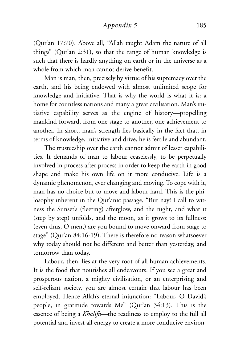(Qur'an 17:70). Above all, "Allah taught Adam the nature of all things" (Qur'an 2:31), so that the range of human knowledge is such that there is hardly anything on earth or in the universe as a whole from which man cannot derive benefit.

Man is man, then, precisely by virtue of his supremacy over the earth, and his being endowed with almost unlimited scope for knowledge and initiative. That is why the world is what it is: a home for countless nations and many a great civilisation. Man's initiative capability serves as the engine of history—propelling mankind forward, from one stage to another, one achievement to another. In short, man's strength lies basically in the fact that, in terms of knowledge, initiative and drive, he is fertile and abundant.

The trusteeship over the earth cannot admit of lesser capabilities. It demands of man to labour ceaselessly, to be perpetually involved in process after process in order to keep the earth in good shape and make his own life on it more conducive. Life is a dynamic phenomenon, ever changing and moving. To cope with it, man has no choice but to move and labour hard. This is the philosophy inherent in the Qur'anic passage, "But nay! I call to witness the Sunset's (fleeting) afterglow, and the night, and what it (step by step) unfolds, and the moon, as it grows to its fullness: (even thus, O men,) are you bound to move onward from stage to stage" (Qur'an 84:16-19). There is therefore no reason whatsoever why today should not be different and better than yesterday, and tomorrow than today.

Labour, then, lies at the very root of all human achievements. It is the food that nourishes all endeavours. If you see a great and prosperous nation, a mighty civilisation, or an enterprising and self-reliant society, you are almost certain that labour has been employed. Hence Allah's eternal injunction: "Labour, O David's people, in gratitude towards Me" (Qur'an 34:13). This is the essence of being a *Khalifa*—the readiness to employ to the full all potential and invest all energy to create a more conducive environ-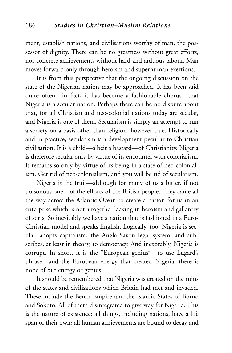ment, establish nations, and civilisations worthy of man, the possessor of dignity. There can be no greatness without great efforts, nor concrete achievements without hard and arduous labour. Man moves forward only through heroism and superhuman exertions.

It is from this perspective that the ongoing discussion on the state of the Nigerian nation may be approached. It has been said quite often—in fact, it has become a fashionable chorus—that Nigeria is a secular nation. Perhaps there can be no dispute about that, for all Christian and neo-colonial nations today are secular, and Nigeria is one of them. Secularism is simply an attempt to run a society on a basis other than religion, however true. Historically and in practice, secularism is a development peculiar to Christian civilisation. It is a child—albeit a bastard—of Christianity. Nigeria is therefore secular only by virtue of its encounter with colonialism. It remains so only by virtue of its being in a state of neo-colonialism. Get rid of neo-colonialism, and you will be rid of secularism.

Nigeria is the fruit—although for many of us a bitter, if not poisonous one—of the efforts of the British people. They came all the way across the Atlantic Ocean to create a nation for us in an enterprise which is not altogether lacking in heroism and gallantry of sorts. So inevitably we have a nation that is fashioned in a Euro-Christian model and speaks English. Logically, too, Nigeria is secular, adopts capitalism, the Anglo-Saxon legal system, and subscribes, at least in theory, to democracy. And inexorably, Nigeria is corrupt. In short, it is the "European genius"—to use Lugard's phrase—and the European energy that created Nigeria; there is none of our energy or genius.

It should be remembered that Nigeria was created on the ruins of the states and civilisations which Britain had met and invaded. These include the Benin Empire and the Islamic States of Borno and Sokoto. All of them disintegrated to give way for Nigeria. This is the nature of existence: all things, including nations, have a life span of their own; all human achievements are bound to decay and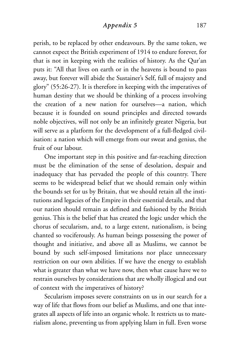## *Appendix 5* 187

perish, to be replaced by other endeavours. By the same token, we cannot expect the British experiment of 1914 to endure forever, for that is not in keeping with the realities of history. As the Qur'an puts it: "All that lives on earth or in the heavens is bound to pass away, but forever will abide the Sustainer's Self, full of majesty and glory" (55:26-27). It is therefore in keeping with the imperatives of human destiny that we should be thinking of a process involving the creation of a new nation for ourselves—a nation, which because it is founded on sound principles and directed towards noble objectives, will not only be an infinitely greater Nigeria, but will serve as a platform for the development of a full-fledged civilisation: a nation which will emerge from our sweat and genius, the fruit of our labour.

One important step in this positive and far-reaching direction must be the elimination of the sense of desolation, despair and inadequacy that has pervaded the people of this country. There seems to be widespread belief that we should remain only within the bounds set for us by Britain, that we should retain all the institutions and legacies of the Empire in their essential details, and that our nation should remain as defined and fashioned by the British genius. This is the belief that has created the logic under which the chorus of secularism, and, to a large extent, nationalism, is being chanted so vociferously. As human beings possessing the power of thought and initiative, and above all as Muslims, we cannot be bound by such self-imposed limitations nor place unnecessary restriction on our own abilities. If we have the energy to establish what is greater than what we have now, then what cause have we to restrain ourselves by considerations that are wholly illogical and out of context with the imperatives of history?

Secularism imposes severe constraints on us in our search for a way of life that flows from our belief as Muslims, and one that integrates all aspects of life into an organic whole. It restricts us to materialism alone, preventing us from applying Islam in full. Even worse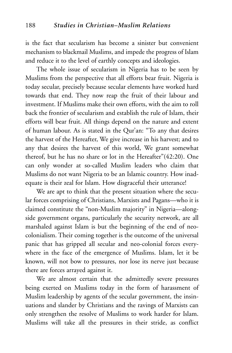is the fact that secularism has become a sinister but convenient mechanism to blackmail Muslims, and impede the progress of Islam and reduce it to the level of earthly concepts and ideologies.

The whole issue of secularism in Nigeria has to be seen by Muslims from the perspective that all efforts bear fruit. Nigeria is today secular, precisely because secular elements have worked hard towards that end. They now reap the fruit of their labour and investment. If Muslims make their own efforts, with the aim to roll back the frontier of secularism and establish the rule of Islam, their efforts will bear fruit. All things depend on the nature and extent of human labour. As is stated in the Qur'an: "To any that desires the harvest of the Hereafter, We give increase in his harvest; and to any that desires the harvest of this world, We grant somewhat thereof, but he has no share or lot in the Hereafter"(42:20). One can only wonder at so-called Muslim leaders who claim that Muslims do not want Nigeria to be an Islamic country. How inadequate is their zeal for Islam. How disgraceful their utterance!

We are apt to think that the present situation where the secular forces comprising of Christians, Marxists and Pagans—who it is claimed constitute the "non-Muslim majority" in Nigeria—alongside government organs, particularly the security network, are all marshaled against Islam is but the beginning of the end of neocolonialism. Their coming together is the outcome of the universal panic that has gripped all secular and neo-colonial forces everywhere in the face of the emergence of Muslims. Islam, let it be known, will not bow to pressures, nor lose its nerve just because there are forces arrayed against it.

We are almost certain that the admittedly severe pressures being exerted on Muslims today in the form of harassment of Muslim leadership by agents of the secular government, the insinuations and slander by Christians and the ravings of Marxists can only strengthen the resolve of Muslims to work harder for Islam. Muslims will take all the pressures in their stride, as conflict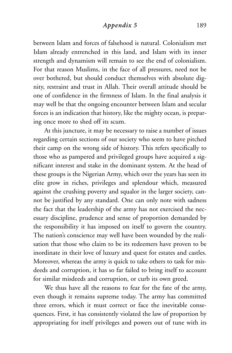## *Appendix 5* 189

between Islam and forces of falsehood is natural. Colonialism met Islam already entrenched in this land, and Islam with its inner strength and dynamism will remain to see the end of colonialism. For that reason Muslims, in the face of all pressures, need not be over bothered, but should conduct themselves with absolute dignity, restraint and trust in Allah. Their overall attitude should be one of confidence in the firmness of Islam. In the final analysis it may well be that the ongoing encounter between Islam and secular forces is an indication that history, like the mighty ocean, is preparing once more to shed off its scum.

At this juncture, it may be necessary to raise a number of issues regarding certain sections of our society who seem to have pitched their camp on the wrong side of history. This refers specifically to those who as pampered and privileged groups have acquired a significant interest and stake in the dominant system. At the head of these groups is the Nigerian Army, which over the years has seen its elite grow in riches, privileges and splendour which, measured against the crushing poverty and squalor in the larger society, cannot be justified by any standard. One can only note with sadness the fact that the leadership of the army has not exercised the necessary discipline, prudence and sense of proportion demanded by the responsibility it has imposed on itself to govern the country. The nation's conscience may well have been wounded by the realisation that those who claim to be its redeemers have proven to be inordinate in their love of luxury and quest for estates and castles. Moreover, whereas the army is quick to take others to task for misdeeds and corruption, it has so far failed to bring itself to account for similar misdeeds and corruption, or curb its own greed.

We thus have all the reasons to fear for the fate of the army, even though it remains supreme today. The army has committed three errors, which it must correct or face the inevitable consequences. First, it has consistently violated the law of proportion by appropriating for itself privileges and powers out of tune with its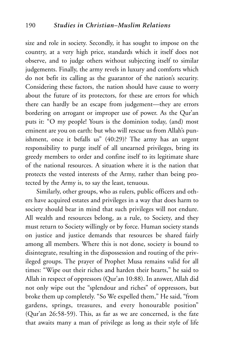size and role in society. Secondly, it has sought to impose on the country, at a very high price, standards which it itself does not observe, and to judge others without subjecting itself to similar judgements. Finally, the army revels in luxury and comforts which do not befit its calling as the guarantor of the nation's security. Considering these factors, the nation should have cause to worry about the future of its protectors, for these are errors for which there can hardly be an escape from judgement—they are errors bordering on arrogant or improper use of power. As the Qur'an puts it: "O my people! Yours is the dominion today, (and) most eminent are you on earth: but who will rescue us from Allah's punishment, once it befalls us" (40:29)? The army has an urgent responsibility to purge itself of all unearned privileges, bring its greedy members to order and confine itself to its legitimate share of the national resources. A situation where it is the nation that protects the vested interests of the Army, rather than being protected by the Army is, to say the least, tenuous.

Similarly, other groups, who as rulers, public officers and others have acquired estates and privileges in a way that does harm to society should bear in mind that such privileges will not endure. All wealth and resources belong, as a rule, to Society, and they must return to Society willingly or by force. Human society stands on justice and justice demands that resources be shared fairly among all members. Where this is not done, society is bound to disintegrate, resulting in the dispossession and routing of the privileged groups. The prayer of Prophet Musa remains valid for all times: "Wipe out their riches and harden their hearts," he said to Allah in respect of oppressors (Qur'an 10:88). In answer, Allah did not only wipe out the "splendour and riches" of oppressors, but broke them up completely. "So We expelled them," He said, "from gardens, springs, treasures, and every honourable position" (Qur'an 26:58-59). This, as far as we are concerned, is the fate that awaits many a man of privilege as long as their style of life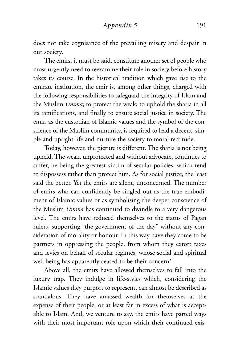does not take cognisance of the prevailing misery and despair in our society.

The emirs, it must be said, constitute another set of people who most urgently need to reexamine their role in society before history takes its course. In the historical tradition which gave rise to the emirate institution, the emir is, among other things, charged with the following responsibilities to safeguard the integrity of Islam and the Muslim *Umma*; to protect the weak; to uphold the sharia in all its ramifications, and finally to ensure social justice in society. The emir, as the custodian of Islamic values and the symbol of the conscience of the Muslim community, is required to lead a decent, simple and upright life and nurture the society to moral rectitude.

Today, however, the picture is different. The sharia is not being upheld. The weak, unprotected and without advocate, continues to suffer, he being the greatest victim of secular policies, which tend to dispossess rather than protect him. As for social justice, the least said the better. Yet the emirs are silent, unconcerned. The number of emirs who can confidently be singled out as the true embodiment of Islamic values or as symbolising the deeper conscience of the Muslim *Umma* has continued to dwindle to a very dangerous level. The emirs have reduced themselves to the status of Pagan rulers, supporting "the government of the day" without any consideration of morality or honour. In this way have they come to be partners in oppressing the people, from whom they extort taxes and levies on behalf of secular regimes, whose social and spiritual well being has apparently ceased to be their concern?

Above all, the emirs have allowed themselves to fall into the luxury trap. They indulge in life-styles which, considering the Islamic values they purport to represent, can almost be described as scandalous. They have amassed wealth for themselves at the expense of their people, or at least far in excess of what is acceptable to Islam. And, we venture to say, the emirs have parted ways with their most important role upon which their continued exis-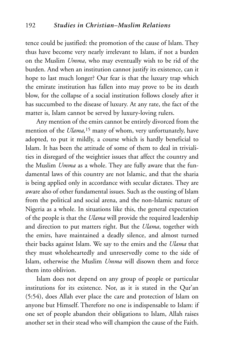tence could be justified: the promotion of the cause of Islam. They thus have become very nearly irrelevant to Islam, if not a burden on the Muslim *Umma*, who may eventually wish to be rid of the burden. And when an institution cannot justify its existence, can it hope to last much longer? Our fear is that the luxury trap which the emirate institution has fallen into may prove to be its death blow, for the collapse of a social institution follows closely after it has succumbed to the disease of luxury. At any rate, the fact of the matter is, Islam cannot be served by luxury-loving rulers.

Any mention of the emirs cannot be entirely divorced from the mention of the *Ulama,*<sup>15</sup> many of whom, very unfortunately, have adopted, to put it mildly, a course which is hardly beneficial to Islam. It has been the attitude of some of them to deal in trivialities in disregard of the weightier issues that affect the country and the Muslim *Umma* as a whole. They are fully aware that the fundamental laws of this country are not Islamic, and that the sharia is being applied only in accordance with secular dictates. They are aware also of other fundamental issues. Such as the ousting of Islam from the political and social arena, and the non-Islamic nature of Nigeria as a whole. In situations like this, the general expectation of the people is that the *Ulama* will provide the required leadership and direction to put matters right. But the *Ulama*, together with the emirs, have maintained a deadly silence, and almost turned their backs against Islam. We say to the emirs and the *Ulama* that they must wholeheartedly and unreservedly come to the side of Islam, otherwise the Muslim *Umma* will disown them and force them into oblivion.

Islam does not depend on any group of people or particular institutions for its existence. Nor, as it is stated in the Qur'an (5:54), does Allah ever place the care and protection of Islam on anyone but Himself. Therefore no one is indispensable to Islam: if one set of people abandon their obligations to Islam, Allah raises another set in their stead who will champion the cause of the Faith.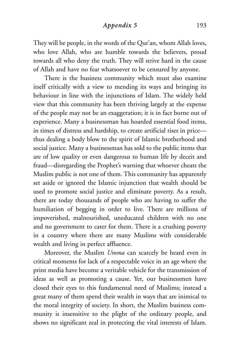### *Appendix 5* 193

They will be people, in the words of the Qur'an, whom Allah loves, who love Allah, who are humble towards the believers, proud towards all who deny the truth. They will strive hard in the cause of Allah and have no fear whatsoever to be censured by anyone.

There is the business community which must also examine itself critically with a view to mending its ways and bringing its behaviour in line with the injunctions of Islam. The widely held view that this community has been thriving largely at the expense of the people may not be an exaggeration; it is in fact borne out of experience. Many a businessman has hoarded essential food items, in times of distress and hardship, to create artificial rises in price thus dealing a body blow to the spirit of Islamic brotherhood and social justice. Many a businessman has sold to the public items that are of low quality or even dangerous to human life by deceit and fraud—disregarding the Prophet's warning that whoever cheats the Muslim public is not one of them. This community has apparently set aside or ignored the Islamic injunction that wealth should be used to promote social justice and eliminate poverty. As a result, there are today thousands of people who are having to suffer the humiliation of begging in order to live. There are millions of impoverished, malnourished, uneducated children with no one and no government to cater for them. There is a crushing poverty in a country where there are many Muslims with considerable wealth and living in perfect affluence.

Moreover, the Muslim *Umma* can scarcely be heard even in critical moments for lack of a respectable voice in an age where the print media have become a veritable vehicle for the transmission of ideas as well as promoting a cause. Yet, our businessmen have closed their eyes to this fundamental need of Muslims; instead a great many of them spend their wealth in ways that are inimical to the moral integrity of society. In short, the Muslim business community is insensitive to the plight of the ordinary people, and shows no significant zeal in protecting the vital interests of Islam.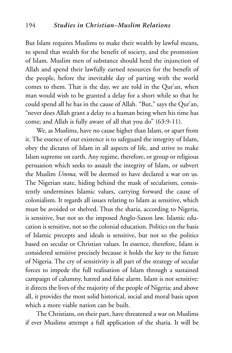But Islam requires Muslims to make their wealth by lawful means, to spend that wealth for the benefit of society, and the promotion of Islam. Muslim men of substance should heed the injunction of Allah and spend their lawfully earned resources for the benefit of the people, before the inevitable day of parting with the world comes to them. That is the day, we are told in the Qur'an, when man would wish to be granted a delay for a short while so that he could spend all he has in the cause of Allah. "But," says the Qur'an, "never does Allah grant a delay to a human being when his time has come; and Allah is fully aware of all that you do" (63:9-11).

We, as Muslims, have no cause higher than Islam, or apart from it. The essence of our existence is to safeguard the integrity of Islam, obey the dictates of Islam in all aspects of life, and strive to make Islam supreme on earth. Any regime, therefore, or group or religious persuasion which seeks to assault the integrity of Islam, or subvert the Muslim *Umma,* will be deemed to have declared a war on us. The Nigerian state, hiding behind the mask of secularism, consistently undermines Islamic values, carrying forward the cause of colonialism. It regards all issues relating to Islam as sensitive, which must be avoided or shelved. Thus the sharia, according to Nigeria, is sensitive, but not so the imposed Anglo-Saxon law. Islamic education is sensitive, not so the colonial education. Politics on the basis of Islamic precepts and ideals is sensitive, but not so the politics based on secular or Christian values. In essence, therefore, Islam is considered sensitive precisely because it holds the key to the future of Nigeria. The cry of sensitivity is all part of the strategy of secular forces to impede the full realisation of Islam through a sustained campaign of calumny, hatred and false alarm. Islam is not sensitive: it directs the lives of the majority of the people of Nigeria; and above all, it provides the most solid historical, social and moral basis upon which a more viable nation can be built.

The Christians, on their part, have threatened a war on Muslims if ever Muslims attempt a full application of the sharia. It will be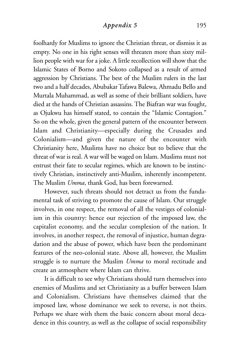### *Appendix 5* 195

foolhardy for Muslims to ignore the Christian threat, or dismiss it as empty. No one in his right senses will threaten more than sixty million people with war for a joke. A little recollection will show that the Islamic States of Borno and Sokoto collapsed as a result of armed aggression by Christians. The best of the Muslim rulers in the last two and a half decades, Abubakar Tafawa Balewa, Ahmadu Bello and Murtala Muhammad, as well as some of their brilliant soldiers, have died at the hands of Christian assassins. The Biafran war was fought, as Ojukwu has himself stated, to contain the "Islamic Contagion." So on the whole, given the general pattern of the encounter between Islam and Christianity—especially during the Crusades and Colonialism—and given the nature of the encounter with Christianity here, Muslims have no choice but to believe that the threat of war is real. A war will be waged on Islam. Muslims must not entrust their fate to secular regimes, which are known to be instinctively Christian, instinctively anti-Muslim, inherently incompetent. The Muslim *Umma*, thank God, has been forewarned.

However, such threats should not detract us from the fundamental task of striving to promote the cause of Islam. Our struggle involves, in one respect, the removal of all the vestiges of colonialism in this country: hence our rejection of the imposed law, the capitalist economy, and the secular complexion of the nation. It involves, in another respect, the removal of injustice, human degradation and the abuse of power, which have been the predominant features of the neo-colonial state. Above all, however, the Muslim struggle is to nurture the Muslim *Umma* to moral rectitude and create an atmosphere where Islam can thrive.

It is difficult to see why Christians should turn themselves into enemies of Muslims and set Christianity as a buffer between Islam and Colonialism. Christians have themselves claimed that the imposed law, whose dominance we seek to reverse, is not theirs. Perhaps we share with them the basic concern about moral decadence in this country, as well as the collapse of social responsibility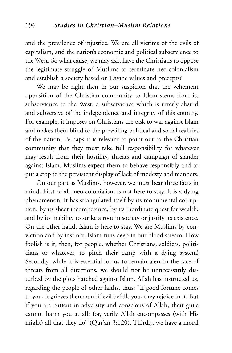and the prevalence of injustice. We are all victims of the evils of capitalism, and the nation's economic and political subservience to the West. So what cause, we may ask, have the Christians to oppose the legitimate struggle of Muslims to terminate neo-colonialism and establish a society based on Divine values and precepts?

We may be right then in our suspicion that the vehement opposition of the Christian community to Islam stems from its subservience to the West: a subservience which is utterly absurd and subversive of the independence and integrity of this country. For example, it imposes on Christians the task to war against Islam and makes them blind to the prevailing political and social realities of the nation. Perhaps it is relevant to point out to the Christian community that they must take full responsibility for whatever may result from their hostility, threats and campaign of slander against Islam. Muslims expect them to behave responsibly and to put a stop to the persistent display of lack of modesty and manners.

On our part as Muslims, however, we must bear three facts in mind. First of all, neo-colonialism is not here to stay. It is a dying phenomenon. It has strangulated itself by its monumental corruption, by its sheer incompetence, by its inordinate quest for wealth, and by its inability to strike a root in society or justify its existence. On the other hand, Islam is here to stay. We are Muslims by conviction and by instinct. Islam runs deep in our blood stream. How foolish is it, then, for people, whether Christians, soldiers, politicians or whatever, to pitch their camp with a dying system! Secondly, while it is essential for us to remain alert in the face of threats from all directions, we should not be unnecessarily disturbed by the plots hatched against Islam. Allah has instructed us, regarding the people of other faiths, thus: "If good fortune comes to you, it grieves them; and if evil befalls you, they rejoice in it. But if you are patient in adversity and conscious of Allah, their guile cannot harm you at all: for, verily Allah encompasses (with His might) all that they do" (Qur'an 3:120). Thirdly, we have a moral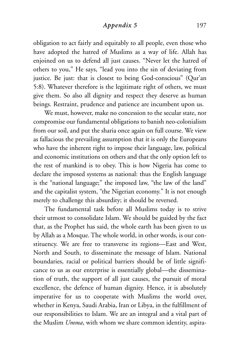### *Appendix 5* 197

obligation to act fairly and equitably to all people, even those who have adopted the hatred of Muslims as a way of life. Allah has enjoined on us to defend all just causes. "Never let the hatred of others to you," He says, "lead you into the sin of deviating from justice. Be just: that is closest to being God-conscious" (Qur'an 5:8). Whatever therefore is the legitimate right of others, we must give them. So also all dignity and respect they deserve as human beings. Restraint, prudence and patience are incumbent upon us.

We must, however, make no concession to the secular state, nor compromise our fundamental obligations to banish neo-colonialism from our soil, and put the sharia once again on full course. We view as fallacious the prevailing assumption that it is only the Europeans who have the inherent right to impose their language, law, political and economic institutions on others and that the only option left to the rest of mankind is to obey. This is how Nigeria has come to declare the imposed systems as national: thus the English language is the "national language;" the imposed law, "the law of the land" and the capitalist system, "the Nigerian economy." It is not enough merely to challenge this absurdity; it should be reversed.

The fundamental task before all Muslims today is to strive their utmost to consolidate Islam. We should be guided by the fact that, as the Prophet has said, the whole earth has been given to us by Allah as a Mosque. The whole world, in other words, is our constituency. We are free to transverse its regions—East and West, North and South, to disseminate the message of Islam. National boundaries, racial or political barriers should be of little significance to us as our enterprise is essentially global—the dissemination of truth, the support of all just causes, the pursuit of moral excellence, the defence of human dignity. Hence, it is absolutely imperative for us to cooperate with Muslims the world over, whether in Kenya, Saudi Arabia, Iran or Libya, in the fulfillment of our responsibilities to Islam. We are an integral and a vital part of the Muslim *Umma*, with whom we share common identity, aspira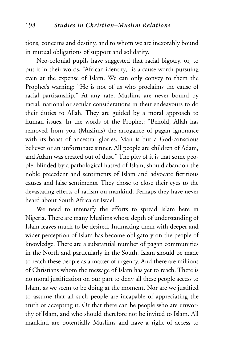tions, concerns and destiny, and to whom we are inexorably bound in mutual obligations of support and solidarity.

Neo-colonial pupils have suggested that racial bigotry, or, to put it in their words, "African identity," is a cause worth pursuing even at the expense of Islam. We can only convey to them the Prophet's warning: "He is not of us who proclaims the cause of racial partisanship." At any rate, Muslims are never bound by racial, national or secular considerations in their endeavours to do their duties to Allah. They are guided by a moral approach to human issues. In the words of the Prophet: "Behold, Allah has removed from you (Muslims) the arrogance of pagan ignorance with its boast of ancestral glories. Man is but a God-conscious believer or an unfortunate sinner. All people are children of Adam, and Adam was created out of dust." The pity of it is that some people, blinded by a pathological hatred of Islam, should abandon the noble precedent and sentiments of Islam and advocate fictitious causes and false sentiments. They chose to close their eyes to the devastating effects of racism on mankind. Perhaps they have never heard about South Africa or Israel.

We need to intensify the efforts to spread Islam here in Nigeria. There are many Muslims whose depth of understanding of Islam leaves much to be desired. Intimating them with deeper and wider perception of Islam has become obligatory on the people of knowledge. There are a substantial number of pagan communities in the North and particularly in the South. Islam should be made to reach these people as a matter of urgency. And there are millions of Christians whom the message of Islam has yet to reach. There is no moral justification on our part to deny all these people access to Islam, as we seem to be doing at the moment. Nor are we justified to assume that all such people are incapable of appreciating the truth or accepting it. Or that there can be people who are unworthy of Islam, and who should therefore not be invited to Islam. All mankind are potentially Muslims and have a right of access to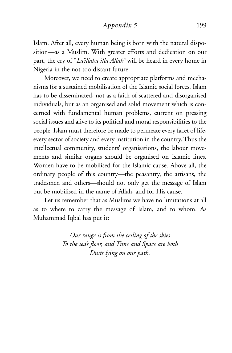### *Appendix 5* 199

Islam. After all, every human being is born with the natural disposition—as a Muslim. With greater efforts and dedication on our part, the cry of "*La'illaha illa Allah"* will be heard in every home in Nigeria in the not too distant future.

Moreover, we need to create appropriate platforms and mechanisms for a sustained mobilisation of the Islamic social forces. Islam has to be disseminated, not as a faith of scattered and disorganised individuals, but as an organised and solid movement which is concerned with fundamental human problems, current on pressing social issues and alive to its political and moral responsibilities to the people. Islam must therefore be made to permeate every facet of life, every sector of society and every institution in the country. Thus the intellectual community, students' organisations, the labour movements and similar organs should be organised on Islamic lines. Women have to be mobilised for the Islamic cause. Above all, the ordinary people of this country—the peasantry, the artisans, the tradesmen and others—should not only get the message of Islam but be mobilised in the name of Allah, and for His cause.

Let us remember that as Muslims we have no limitations at all as to where to carry the message of Islam, and to whom. As Muhammad Iqbal has put it:

> *Our range is from the ceiling of the skies To the sea's floor, and Time and Space are both Dusts lying on our path.*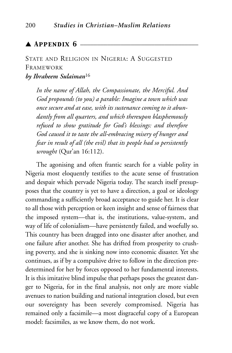## $\blacktriangle$  Appendix 6  $-$

# STATE AND RELIGION IN NIGERIA: A SUGGESTED FRAMEWORK

## *by Ibraheem Sulaiman*<sup>16</sup>

*In the name of Allah, the Compassionate, the Merciful. And God propounds (to you) a parable: Imagine a town which was once secure and at ease, with its sustenance coming to it abundantly from all quarters, and which thereupon blasphemously refused to show gratitude for God's blessings: and therefore God caused it to taste the all-embracing misery of hunger and fear in result of all (the evil) that its people had so persistently wrought* (Qur'an 16:112).

The agonising and often frantic search for a viable polity in Nigeria most eloquently testifies to the acute sense of frustration and despair which pervade Nigeria today. The search itself presupposes that the country is yet to have a direction, a goal or ideology commanding a sufficiently broad acceptance to guide her. It is clear to all those with perception or keen insight and sense of fairness that the imposed system—that is, the institutions, value-system, and way of life of colonialism—have persistently failed, and woefully so. This country has been dragged into one disaster after another, and one failure after another. She has drifted from prosperity to crushing poverty, and she is sinking now into economic disaster. Yet she continues, as if by a compulsive drive to follow in the direction predetermined for her by forces opposed to her fundamental interests. It is this imitative blind impulse that perhaps poses the greatest danger to Nigeria, for in the final analysis, not only are more viable avenues to nation building and national integration closed, but even our sovereignty has been severely compromised. Nigeria has remained only a facsimile—a most disgraceful copy of a European model: facsimiles, as we know them, do not work.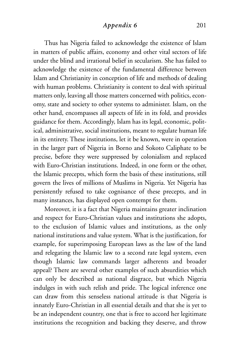### *Appendix 6* 201

Thus has Nigeria failed to acknowledge the existence of Islam in matters of public affairs, economy and other vital sectors of life under the blind and irrational belief in secularism. She has failed to acknowledge the existence of the fundamental difference between Islam and Christianity in conception of life and methods of dealing with human problems. Christianity is content to deal with spiritual matters only, leaving all those matters concerned with politics, economy, state and society to other systems to administer. Islam, on the other hand, encompasses all aspects of life in its fold, and provides guidance for them. Accordingly, Islam has its legal, economic, political, administrative, social institutions, meant to regulate human life in its entirety. These institutions, let it be known, were in operation in the larger part of Nigeria in Borno and Sokoto Caliphate to be precise, before they were suppressed by colonialism and replaced with Euro-Christian institutions. Indeed, in one form or the other, the Islamic precepts, which form the basis of these institutions, still govern the lives of millions of Muslims in Nigeria. Yet Nigeria has persistently refused to take cognisance of these precepts, and in many instances, has displayed open contempt for them.

Moreover, it is a fact that Nigeria maintains greater inclination and respect for Euro-Christian values and institutions she adopts, to the exclusion of Islamic values and institutions, as the only national institutions and value system. What is the justification, for example, for superimposing European laws as the law of the land and relegating the Islamic law to a second rate legal system, even though Islamic law commands larger adherents and broader appeal? There are several other examples of such absurdities which can only be described as national disgrace, but which Nigeria indulges in with such relish and pride. The logical inference one can draw from this senseless national attitude is that Nigeria is innately Euro-Christian in all essential details and that she is yet to be an independent country, one that is free to accord her legitimate institutions the recognition and backing they deserve, and throw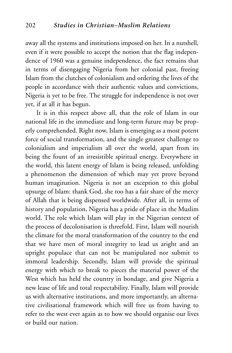away all the systems and institutions imposed on her. In a nutshell, even if it were possible to accept the notion that the flag independence of 1960 was a genuine independence, the fact remains that in terms of disengaging Nigeria from her colonial past, freeing Islam from the clutches of colonialism and ordering the lives of the people in accordance with their authentic values and convictions, Nigeria is yet to be free. The struggle for independence is not over yet, if at all it has begun.

It is in this respect above all, that the role of Islam in our national life in the immediate and long-term future may be properly comprehended. Right now, Islam is emerging as a most potent force of social transformation, and the single greatest challenge to colonialism and imperialism all over the world, apart from its being the fount of an irresistible spiritual energy. Everywhere in the world, this latent energy of Islam is being released, unfolding a phenomenon the dimension of which may yet prove beyond human imagination. Nigeria is not an exception to this global upsurge of Islam: thank God, she too has a fair share of the mercy of Allah that is being dispensed worldwide. After all, in terms of history and population, Nigeria has a pride of place in the Muslim world. The role which Islam will play in the Nigerian context of the process of decolonisation is threefold. First, Islam will nourish the climate for the moral transformation of the country to the end that we have men of moral integrity to lead us aright and an upright populace that can not be manipulated nor submit to immoral leadership. Secondly, Islam will provide the spiritual energy with which to break to pieces the material power of the West which has held the country in bondage, and give Nigeria a new lease of life and total respectability. Finally, Islam will provide us with alternative institutions, and more importantly, an alternative civilisational framework which will free us from having to refer to the west ever again as to how we should organise our lives or build our nation.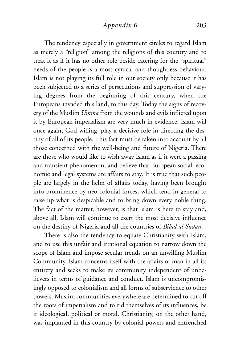The tendency especially in government circles to regard Islam as merely a "religion" among the religions of this country and to treat it as if it has no other role beside catering for the "spiritual" needs of the people is a most cynical and thoughtless behaviour. Islam is not playing its full role in our society only because it has been subjected to a series of persecutions and suppression of varying degrees from the beginning of this century, when the Europeans invaded this land, to this day. Today the signs of recovery of the Muslim *Umma* from the wounds and evils inflicted upon it by European imperialism are very much in evidence. Islam will once again, God willing, play a decisive role in directing the destiny of all of its people. This fact must be taken into account by all those concerned with the well-being and future of Nigeria. There are those who would like to wish away Islam as if it were a passing and transient phenomenon, and believe that European social, economic and legal systems are affairs to stay. It is true that such people are largely in the helm of affairs today, having been brought into prominence by neo-colonial forces, which tend in general to raise up what is despicable and to bring down every noble thing. The fact of the matter, however, is that Islam is here to stay and, above all, Islam will continue to exert the most decisive influence on the destiny of Nigeria and all the countries of *Bilad al-Sudan*.

There is also the tendency to equate Christianity with Islam, and to use this unfair and irrational equation to narrow down the scope of Islam and impose secular trends on an unwilling Muslim Community. Islam concerns itself with the affairs of man in all its entirety and seeks to make its community independent of unbelievers in terms of guidance and conduct. Islam is uncompromisingly opposed to colonialism and all forms of subservience to other powers. Muslim communities everywhere are determined to cut off the roots of imperialism and to rid themselves of its influences, be it ideological, political or moral. Christianity, on the other hand, was implanted in this country by colonial powers and entrenched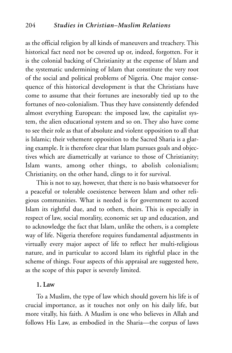as the official religion by all kinds of maneuvers and treachery. This historical fact need not be covered up or, indeed, forgotten. For it is the colonial backing of Christianity at the expense of Islam and the systematic undermining of Islam that constitute the very root of the social and political problems of Nigeria. One major consequence of this historical development is that the Christians have come to assume that their fortunes are inexorably tied up to the fortunes of neo-colonialism. Thus they have consistently defended almost everything European: the imposed law, the capitalist system, the alien educational system and so on. They also have come to see their role as that of absolute and violent opposition to all that is Islamic; their vehement opposition to the Sacred Sharia is a glaring example. It is therefore clear that Islam pursues goals and objectives which are diametrically at variance to those of Christianity; Islam wants, among other things, to abolish colonialism; Christianity, on the other hand, clings to it for survival.

This is not to say, however, that there is no basis whatsoever for a peaceful or tolerable coexistence between Islam and other religious communities. What is needed is for government to accord Islam its rightful due, and to others, theirs. This is especially in respect of law, social morality, economic set up and education, and to acknowledge the fact that Islam, unlike the others, is a complete way of life. Nigeria therefore requires fundamental adjustments in virtually every major aspect of life to reflect her multi-religious nature, and in particular to accord Islam its rightful place in the scheme of things. Four aspects of this appraisal are suggested here, as the scope of this paper is severely limited.

### **1. Law**

To a Muslim, the type of law which should govern his life is of crucial importance, as it touches not only on his daily life, but more vitally, his faith. A Muslim is one who believes in Allah and follows His Law, as embodied in the Sharia—the corpus of laws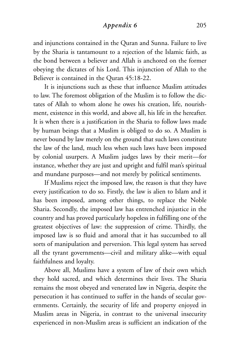### *Appendix 6* 205

and injunctions contained in the Quran and Sunna. Failure to live by the Sharia is tantamount to a rejection of the Islamic faith, as the bond between a believer and Allah is anchored on the former obeying the dictates of his Lord. This injunction of Allah to the Believer is contained in the Quran 45:18-22.

It is injunctions such as these that influence Muslim attitudes to law. The foremost obligation of the Muslim is to follow the dictates of Allah to whom alone he owes his creation, life, nourishment, existence in this world, and above all, his life in the hereafter. It is when there is a justification in the Sharia to follow laws made by human beings that a Muslim is obliged to do so. A Muslim is never bound by law merely on the ground that such laws constitute the law of the land, much less when such laws have been imposed by colonial usurpers. A Muslim judges laws by their merit—for instance, whether they are just and upright and fulfil man's spiritual and mundane purposes—and not merely by political sentiments.

If Muslims reject the imposed law, the reason is that they have every justification to do so. Firstly, the law is alien to Islam and it has been imposed, among other things, to replace the Noble Sharia. Secondly, the imposed law has entrenched injustice in the country and has proved particularly hopeless in fulfilling one of the greatest objectives of law: the suppression of crime. Thirdly, the imposed law is so fluid and amoral that it has succumbed to all sorts of manipulation and perversion. This legal system has served all the tyrant governments—civil and military alike—with equal faithfulness and loyalty.

Above all, Muslims have a system of law of their own which they hold sacred, and which determines their lives. The Sharia remains the most obeyed and venerated law in Nigeria, despite the persecution it has continued to suffer in the hands of secular governments. Certainly, the security of life and property enjoyed in Muslim areas in Nigeria, in contrast to the universal insecurity experienced in non-Muslim areas is sufficient an indication of the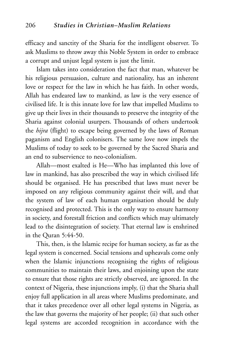efficacy and sanctity of the Sharia for the intelligent observer. To ask Muslims to throw away this Noble System in order to embrace a corrupt and unjust legal system is just the limit.

Islam takes into consideration the fact that man, whatever be his religious persuasion, culture and nationality, has an inherent love or respect for the law in which he has faith. In other words, Allah has endeared law to mankind, as law is the very essence of civilised life. It is this innate love for law that impelled Muslims to give up their lives in their thousands to preserve the integrity of the Sharia against colonial usurpers. Thousands of others undertook the *hijra* (flight) to escape being governed by the laws of Roman paganism and English colonisers. The same love now impels the Muslims of today to seek to be governed by the Sacred Sharia and an end to subservience to neo-colonialism.

Allah—most exalted is He—Who has implanted this love of law in mankind, has also prescribed the way in which civilised life should be organised. He has prescribed that laws must never be imposed on any religious community against their will, and that the system of law of each human organisation should be duly recognised and protected. This is the only way to ensure harmony in society, and forestall friction and conflicts which may ultimately lead to the disintegration of society. That eternal law is enshrined in the Quran 5:44-50.

This, then, is the Islamic recipe for human society, as far as the legal system is concerned. Social tensions and upheavals come only when the Islamic injunctions recognising the rights of religious communities to maintain their laws, and enjoining upon the state to ensure that those rights are strictly observed, are ignored. In the context of Nigeria, these injunctions imply, (i) that the Sharia shall enjoy full application in all areas where Muslims predominate, and that it takes precedence over all other legal systems in Nigeria, as the law that governs the majority of her people; (ii) that such other legal systems are accorded recognition in accordance with the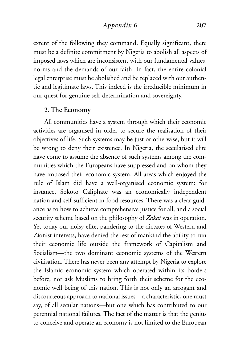### *Appendix 6* 207

extent of the following they command. Equally significant, there must be a definite commitment by Nigeria to abolish all aspects of imposed laws which are inconsistent with our fundamental values, norms and the demands of our faith. In fact, the entire colonial legal enterprise must be abolished and be replaced with our authentic and legitimate laws. This indeed is the irreducible minimum in our quest for genuine self-determination and sovereignty.

### **2. The Economy**

All communities have a system through which their economic activities are organised in order to secure the realisation of their objectives of life. Such systems may be just or otherwise, but it will be wrong to deny their existence. In Nigeria, the secularised elite have come to assume the absence of such systems among the communities which the Europeans have suppressed and on whom they have imposed their economic system. All areas which enjoyed the rule of Islam did have a well-organised economic system: for instance, Sokoto Caliphate was an economically independent nation and self-sufficient in food resources. There was a clear guidance as to how to achieve comprehensive justice for all, and a social security scheme based on the philosophy of *Zakat* was in operation. Yet today our noisy elite, pandering to the dictates of Western and Zionist interests, have denied the rest of mankind the ability to run their economic life outside the framework of Capitalism and Socialism—the two dominant economic systems of the Western civilisation. There has never been any attempt by Nigeria to explore the Islamic economic system which operated within its borders before, nor ask Muslims to bring forth their scheme for the economic well being of this nation. This is not only an arrogant and discourteous approach to national issues—a characteristic, one must say, of all secular nations—but one which has contributed to our perennial national failures. The fact of the matter is that the genius to conceive and operate an economy is not limited to the European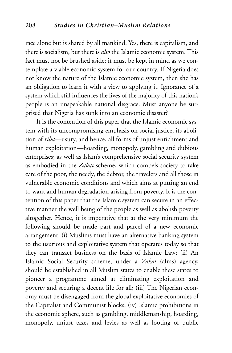race alone but is shared by all mankind. Yes, there is capitalism, and there is socialism, but there is *also* the Islamic economic system. This fact must not be brushed aside; it must be kept in mind as we contemplate a viable economic system for our country. If Nigeria does not know the nature of the Islamic economic system, then she has an obligation to learn it with a view to applying it. Ignorance of a system which still influences the lives of the majority of this nation's people is an unspeakable national disgrace. Must anyone be surprised that Nigeria has sunk into an economic disaster?

It is the contention of this paper that the Islamic economic system with its uncompromising emphasis on social justice, its abolition of *riba*—usury, and hence, all forms of unjust enrichment and human exploitation—hoarding, monopoly, gambling and dubious enterprises; as well as Islam's comprehensive social security system as embodied in the *Zakat* scheme, which compels society to take care of the poor, the needy, the debtor, the travelers and all those in vulnerable economic conditions and which aims at putting an end to want and human degradation arising from poverty. It is the contention of this paper that the Islamic system can secure in an effective manner the well being of the people as well as abolish poverty altogether. Hence, it is imperative that at the very minimum the following should be made part and parcel of a new economic arrangement: (i) Muslims must have an alternative banking system to the usurious and exploitative system that operates today so that they can transact business on the basis of Islamic Law; (ii) An Islamic Social Security scheme, under a *Zakat* (alms) agency, should be established in all Muslim states to enable these states to pioneer a programme aimed at eliminating exploitation and poverty and securing a decent life for all; (iii) The Nigerian economy must be disengaged from the global exploitative economies of the Capitalist and Communist blocks; (iv) Islamic prohibitions in the economic sphere, such as gambling, middlemanship, hoarding, monopoly, unjust taxes and levies as well as looting of public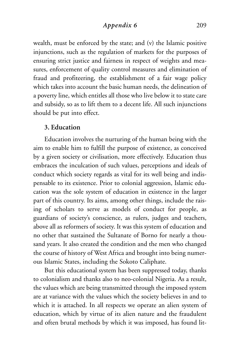*Appendix 6* 209

wealth, must be enforced by the state; and (v) the Islamic positive injunctions, such as the regulation of markets for the purposes of ensuring strict justice and fairness in respect of weights and measures, enforcement of quality control measures and elimination of fraud and profiteering, the establishment of a fair wage policy which takes into account the basic human needs, the delineation of a poverty line, which entitles all those who live below it to state care and subsidy, so as to lift them to a decent life. All such injunctions should be put into effect.

### **3. Education**

Education involves the nurturing of the human being with the aim to enable him to fulfill the purpose of existence, as conceived by a given society or civilisation, more effectively. Education thus embraces the inculcation of such values, perceptions and ideals of conduct which society regards as vital for its well being and indispensable to its existence. Prior to colonial aggression, Islamic education was the sole system of education in existence in the larger part of this country. Its aims, among other things, include the raising of scholars to serve as models of conduct for people, as guardians of society's conscience, as rulers, judges and teachers, above all as reformers of society. It was this system of education and no other that sustained the Sultanate of Borno for nearly a thousand years. It also created the condition and the men who changed the course of history of West Africa and brought into being numerous Islamic States, including the Sokoto Caliphate.

But this educational system has been suppressed today, thanks to colonialism and thanks also to neo-colonial Nigeria. As a result, the values which are being transmitted through the imposed system are at variance with the values which the society believes in and to which it is attached. In all respects we operate an alien system of education, which by virtue of its alien nature and the fraudulent and often brutal methods by which it was imposed, has found lit-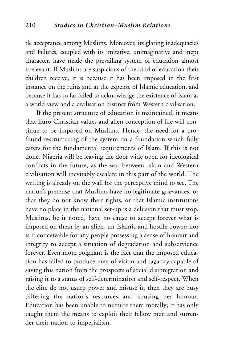tle acceptance among Muslims. Moreover, its glaring inadequacies and failures, coupled with its imitative, unimaginative and inept character, have made the prevailing system of education almost irrelevant. If Muslims are suspicious of the kind of education their children receive, it is because it has been imposed in the first instance on the ruins and at the expense of Islamic education, and because it has so far failed to acknowledge the existence of Islam as a world view and a civilisation distinct from Western civilisation.

If the present structure of education is maintained, it means that Euro-Christian values and alien conception of life will continue to be imposed on Muslims. Hence, the need for a profound restructuring of the system on a foundation which fully caters for the fundamental requirements of Islam. If this is not done, Nigeria will be leaving the door wide open for ideological conflicts in the future, as the war between Islam and Western civilisation will inevitably escalate in this part of the world. The writing is already on the wall for the perceptive mind to see. The nation's pretense that Muslims have no legitimate grievances, or that they do not know their rights, or that Islamic institutions have no place in the national set-up is a delusion that must stop. Muslims, be it noted, have no cause to accept forever what is imposed on them by an alien, un-Islamic and hostile power; nor is it conceivable for any people possessing a sense of honour and integrity to accept a situation of degradation and subservience forever. Even more poignant is the fact that the imposed education has failed to produce men of vision and sagacity capable of saving this nation from the prospects of social disintegration and raising it to a status of self-determination and self-respect. When the elite do not usurp power and misuse it, then they are busy pilfering the nation's resources and abusing her honour. Education has been unable to nurture them morally; it has only taught them the means to exploit their fellow men and surrender their nation to imperialism.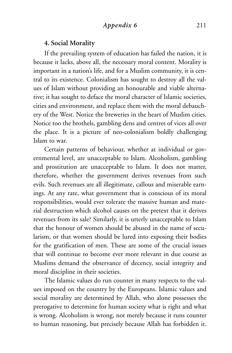### *Appendix 6* 211

### **4. Social Morality**

If the prevailing system of education has failed the nation, it is because it lacks, above all, the necessary moral content. Morality is important in a nation's life, and for a Muslim community, it is central to its existence. Colonialism has sought to destroy all the values of Islam without providing an honourable and viable alternative; it has sought to deface the moral character of Islamic societies, cities and environment, and replace them with the moral debauchery of the West. Notice the breweries in the heart of Muslim cities. Notice too the brothels, gambling dens and centres of vices all over the place. It is a picture of neo-colonialism boldly challenging Islam to war.

Certain patterns of behaviour, whether at individual or governmental level, are unacceptable to Islam. Alcoholism, gambling and prostitution are unacceptable to Islam. It does not matter, therefore, whether the government derives revenues from such evils. Such revenues are all illegitimate, callous and miserable earnings. At any rate, what government that is conscious of its moral responsibilities, would ever tolerate the massive human and material destruction which alcohol causes on the pretext that it derives revenues from its sale? Similarly, it is utterly unacceptable to Islam that the honour of women should be abused in the name of secularism, or that women should be lured into exposing their bodies for the gratification of men. These are some of the crucial issues that will continue to become ever more relevant in due course as Muslims demand the observance of decency, social integrity and moral discipline in their societies.

The Islamic values do run counter in many respects to the values imposed on the country by the Europeans. Islamic values and social morality are determined by Allah, who alone possesses the prerogative to determine for human society what is right and what is wrong. Alcoholism is wrong, not merely because it runs counter to human reasoning, but precisely because Allah has forbidden it.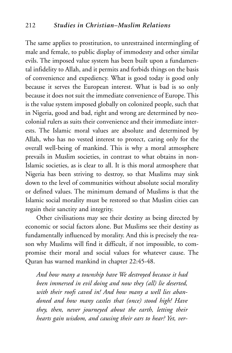The same applies to prostitution, to unrestrained intermingling of male and female, to public display of immodesty and other similar evils. The imposed value system has been built upon a fundamental infidelity to Allah, and it permits and forbids things on the basis of convenience and expediency. What is good today is good only because it serves the European interest. What is bad is so only because it does not suit the immediate convenience of Europe. This is the value system imposed globally on colonized people, such that in Nigeria, good and bad, right and wrong are determined by neocolonial rulers as suits their convenience and their immediate interests. The Islamic moral values are absolute and determined by Allah, who has no vested interest to protect, caring only for the overall well-being of mankind. This is why a moral atmosphere prevails in Muslim societies, in contrast to what obtains in non-Islamic societies, as is clear to all. It is this moral atmosphere that Nigeria has been striving to destroy, so that Muslims may sink down to the level of communities without absolute social morality or defined values. The minimum demand of Muslims is that the Islamic social morality must be restored so that Muslim cities can regain their sanctity and integrity.

Other civilisations may see their destiny as being directed by economic or social factors alone. But Muslims see their destiny as fundamentally influenced by morality. And this is precisely the reason why Muslims will find it difficult, if not impossible, to compromise their moral and social values for whatever cause. The Quran has warned mankind in chapter 22:45-48.

*And how many a township have We destroyed because it had been immersed in evil doing and now they (all) lie deserted, with their roofs caved in! And how many a well lies abandoned and how many castles that (once) stood high! Have they, then, never journeyed about the earth, letting their hearts gain wisdom, and causing their ears to hear? Yet, ver-*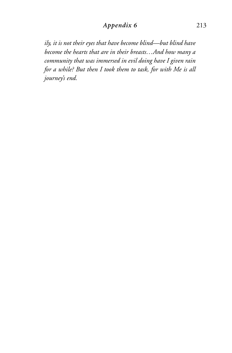## *Appendix 6* 213

*ily, it is not their eyes that have become blind—but blind have become the hearts that are in their breasts…And how many a community that was immersed in evil doing have I given rain for a while? But then I took them to task, for with Me is all journey's end.*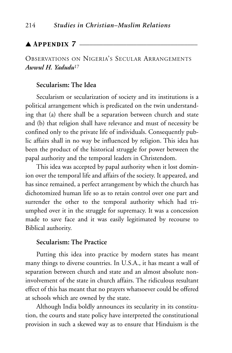## $\triangle$  Appendix 7  $\overline{\phantom{a}}$

## OBSERVATIONS ON NIGERIA'S SECULAR ARRANGEMENTS *Awwul H. Yadudu*<sup>17</sup>

### **Secularism: The Idea**

Secularism or secularization of society and its institutions is a political arrangement which is predicated on the twin understanding that (a) there shall be a separation between church and state and (b) that religion shall have relevance and must of necessity be confined only to the private life of individuals. Consequently public affairs shall in no way be influenced by religion. This idea has been the product of the historical struggle for power between the papal authority and the temporal leaders in Christendom.

This idea was accepted by papal authority when it lost dominion over the temporal life and affairs of the society. It appeared, and has since remained, a perfect arrangement by which the church has dichotomized human life so as to retain control over one part and surrender the other to the temporal authority which had triumphed over it in the struggle for supremacy. It was a concession made to save face and it was easily legitimated by recourse to Biblical authority.

## **Secularism: The Practice**

Putting this idea into practice by modern states has meant many things to diverse countries. In U.S.A., it has meant a wall of separation between church and state and an almost absolute noninvolvement of the state in church affairs. The ridiculous resultant effect of this has meant that no prayers whatsoever could be offered at schools which are owned by the state.

Although India boldly announces its secularity in its constitution, the courts and state policy have interpreted the constitutional provision in such a skewed way as to ensure that Hinduism is the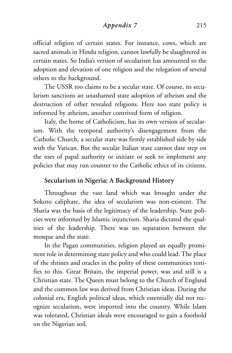*Appendix 7* 215

official religion of certain states. For instance, cows, which are sacred animals in Hindu religion, cannot lawfully be slaughtered in certain states. So India's version of secularism has amounted to the adoption and elevation of one religion and the relegation of several others to the background.

The USSR too claims to be a secular state. Of course, its secularism sanctions an unashamed state adoption of atheism and the destruction of other revealed religions. Here too state policy is informed by atheism, another contrived form of religion.

Italy, the home of Catholicism, has its own version of secularism. With the temporal authority's disengagement from the Catholic Church, a secular state was firmly established side by side with the Vatican. But the secular Italian state cannot dare step on the toes of papal authority or initiate or seek to implement any policies that may run counter to the Catholic ethics of its citizens.

## **Secularism in Nigeria: A Background History**

Throughout the vast land which was brought under the Sokoto caliphate, the idea of secularism was non-existent. The Sharia was the basis of the legitimacy of the leadership. State policies were informed by Islamic injunction. Sharia dictated the qualities of the leadership. There was no separation between the mosque and the state.

In the Pagan communities, religion played an equally prominent role in determining state policy and who could lead. The place of the shrines and oracles in the polity of these communities testifies to this. Great Britain, the imperial power, was and still is a Christian state. The Queen must belong to the Church of England and the common law was derived from Christian ideas. During the colonial era, English political ideas, which essentially did not recognize secularism, were imported into the country. While Islam was tolerated, Christian ideals were encouraged to gain a foothold on the Nigerian soil.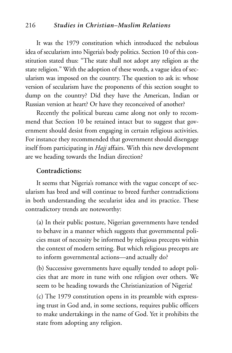### 216 *Studies in Christian–Muslim Relations*

It was the 1979 constitution which introduced the nebulous idea of secularism into Nigeria's body politics. Section 10 of this constitution stated thus: "The state shall not adopt any religion as the state religion." With the adoption of these words, a vague idea of secularism was imposed on the country. The question to ask is: whose version of secularism have the proponents of this section sought to dump on the country? Did they have the American, Indian or Russian version at heart? Or have they reconceived of another?

Recently the political bureau came along not only to recommend that Section 10 be retained intact but to suggest that government should desist from engaging in certain religious activities. For instance they recommended that government should disengage itself from participating in *Hajj* affairs. With this new development are we heading towards the Indian direction?

### **Contradictions:**

It seems that Nigeria's romance with the vague concept of secularism has bred and will continue to breed further contradictions in both understanding the secularist idea and its practice. These contradictory trends are noteworthy:

(a) In their public posture, Nigerian governments have tended to behave in a manner which suggests that governmental policies must of necessity be informed by religious precepts within the context of modern setting. But which religious precepts are to inform governmental actions—and actually do?

(b) Successive governments have equally tended to adopt policies that are more in tune with one religion over others. We seem to be heading towards the Christianization of Nigeria!

(c) The 1979 constitution opens in its preamble with expressing trust in God and, in some sections, requires public officers to make undertakings in the name of God. Yet it prohibits the state from adopting any religion.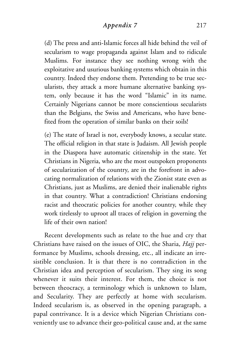## *Appendix 7* 217

(d) The press and anti-Islamic forces all hide behind the veil of secularism to wage propaganda against Islam and to ridicule Muslims. For instance they see nothing wrong with the exploitative and usurious banking systems which obtain in this country. Indeed they endorse them. Pretending to be true secularists, they attack a more humane alternative banking system, only because it has the word "Islamic" in its name. Certainly Nigerians cannot be more conscientious secularists than the Belgians, the Swiss and Americans, who have benefited from the operation of similar banks on their soils!

(e) The state of Israel is not, everybody knows, a secular state. The official religion in that state is Judaism. All Jewish people in the Diaspora have automatic citizenship in the state. Yet Christians in Nigeria, who are the most outspoken proponents of secularization of the country, are in the forefront in advocating normalization of relations with the Zionist state even as Christians, just as Muslims, are denied their inalienable rights in that country. What a contradiction! Christians endorsing racist and theocratic policies for another country, while they work tirelessly to uproot all traces of religion in governing the life of their own nation!

Recent developments such as relate to the hue and cry that Christians have raised on the issues of OIC, the Sharia, *Hajj* performance by Muslims, schools dressing, etc., all indicate an irresistible conclusion. It is that there is no contradiction in the Christian idea and perception of secularism. They sing its song whenever it suits their interest. For them, the choice is not between theocracy, a terminology which is unknown to Islam, and Secularity. They are perfectly at home with secularism. Indeed secularism is, as observed in the opening paragraph, a papal contrivance. It is a device which Nigerian Christians conveniently use to advance their geo-political cause and, at the same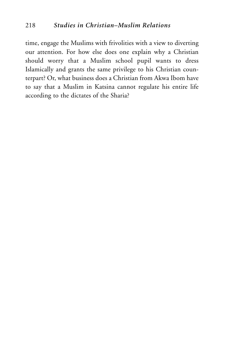time, engage the Muslims with frivolities with a view to diverting our attention. For how else does one explain why a Christian should worry that a Muslim school pupil wants to dress Islamically and grants the same privilege to his Christian counterpart? Or, what business does a Christian from Akwa Ibom have to say that a Muslim in Katsina cannot regulate his entire life according to the dictates of the Sharia?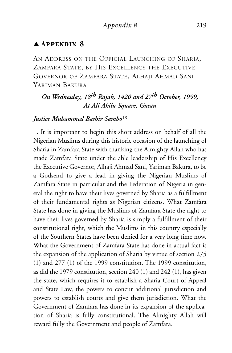## $\blacktriangle$  Appendix 8  $\equiv$

AN ADDRESS ON THE OFFICIAL LAUNCHING OF SHARIA, ZAMFARA STATE, BY HIS EXCELLENCY THE EXECUTIVE GOVERNOR OF ZAMFARA STATE, ALHAJI AHMAD SANI YARIMAN BAKURA

## *On Wednesday, 18th Rajab, 1420 and 27th October, 1999, At Ali Akilu Square, Gusau*

## *Justice Muhammed Bashir Sambo*<sup>18</sup>

1. It is important to begin this short address on behalf of all the Nigerian Muslims during this historic occasion of the launching of Sharia in Zamfara State with thanking the Almighty Allah who has made Zamfara State under the able leadership of His Excellency the Executive Governor, Alhaji Ahmad Sani, Yariman Bakura, to be a Godsend to give a lead in giving the Nigerian Muslims of Zamfara State in particular and the Federation of Nigeria in general the right to have their lives governed by Sharia as a fulfillment of their fundamental rights as Nigerian citizens. What Zamfara State has done in giving the Muslims of Zamfara State the right to have their lives governed by Sharia is simply a fulfillment of their constitutional right, which the Muslims in this country especially of the Southern States have been denied for a very long time now. What the Government of Zamfara State has done in actual fact is the expansion of the application of Sharia by virtue of section 275 (1) and 277 (1) of the 1999 constitution. The 1999 constitution, as did the 1979 constitution, section 240 (1) and 242 (1), has given the state, which requires it to establish a Sharia Court of Appeal and State Law, the powers to concur additional jurisdiction and powers to establish courts and give them jurisdiction. What the Government of Zamfara has done in its expansion of the application of Sharia is fully constitutional. The Almighty Allah will reward fully the Government and people of Zamfara.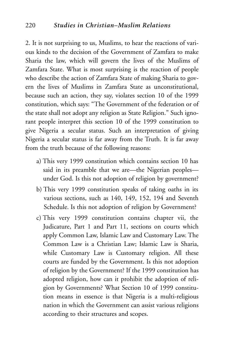2. It is not surprising to us, Muslims, to hear the reactions of various kinds to the decision of the Government of Zamfara to make Sharia the law, which will govern the lives of the Muslims of Zamfara State. What is most surprising is the reaction of people who describe the action of Zamfara State of making Sharia to govern the lives of Muslims in Zamfara State as unconstitutional, because such an action, they say, violates section 10 of the 1999 constitution, which says: "The Government of the federation or of the state shall not adopt any religion as State Religion." Such ignorant people interpret this section 10 of the 1999 constitution to give Nigeria a secular status. Such an interpretation of giving Nigeria a secular status is far away from the Truth. It is far away from the truth because of the following reasons:

- a) This very 1999 constitution which contains section 10 has said in its preamble that we are—the Nigerian peoples under God. Is this not adoption of religion by government?
- b) This very 1999 constitution speaks of taking oaths in its various sections, such as 140, 149, 152, 194 and Seventh Schedule. Is this not adoption of religion by Government?
- c) This very 1999 constitution contains chapter vii, the Judicature, Part 1 and Part 11, sections on courts which apply Common Law, Islamic Law and Customary Law. The Common Law is a Christian Law; Islamic Law is Sharia, while Customary Law is Customary religion. All these courts are funded by the Government. Is this not adoption of religion by the Government? If the 1999 constitution has adopted religion, how can it prohibit the adoption of religion by Governments? What Section 10 of 1999 constitution means in essence is that Nigeria is a multi-religious nation in which the Government can assist various religions according to their structures and scopes.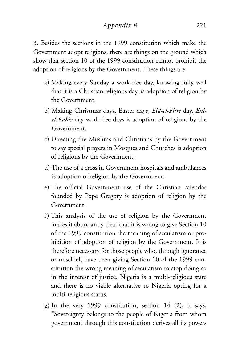### *Appendix 8* 221

3. Besides the sections in the 1999 constitution which make the Government adopt religions, there are things on the ground which show that section 10 of the 1999 constitution cannot prohibit the adoption of religions by the Government. These things are:

- a) Making every Sunday a work-free day, knowing fully well that it is a Christian religious day, is adoption of religion by the Government.
- b) Making Christmas days, Easter days, *Eid-el-Fitre* day, *Eidel-Kabir* day work-free days is adoption of religions by the Government.
- c) Directing the Muslims and Christians by the Government to say special prayers in Mosques and Churches is adoption of religions by the Government.
- d) The use of a cross in Government hospitals and ambulances is adoption of religion by the Government.
- e) The official Government use of the Christian calendar founded by Pope Gregory is adoption of religion by the Government.
- f) This analysis of the use of religion by the Government makes it abundantly clear that it is wrong to give Section 10 of the 1999 constitution the meaning of secularism or prohibition of adoption of religion by the Government. It is therefore necessary for those people who, through ignorance or mischief, have been giving Section 10 of the 1999 constitution the wrong meaning of secularism to stop doing so in the interest of justice. Nigeria is a multi-religious state and there is no viable alternative to Nigeria opting for a multi-religious status.
- g) In the very 1999 constitution, section 14 (2), it says, "Sovereignty belongs to the people of Nigeria from whom government through this constitution derives all its powers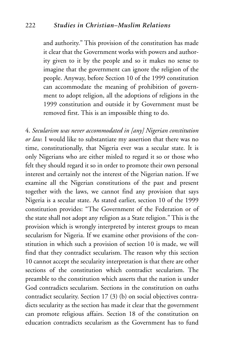and authority." This provision of the constitution has made it clear that the Government works with powers and authority given to it by the people and so it makes no sense to imagine that the government can ignore the religion of the people. Anyway, before Section 10 of the 1999 constitution can accommodate the meaning of prohibition of government to adopt religion, all the adoptions of religions in the 1999 constitution and outside it by Government must be removed first. This is an impossible thing to do.

4. *Secularism was never accommodated in [any] Nigerian constitution or law.* I would like to substantiate my assertion that there was no time, constitutionally, that Nigeria ever was a secular state. It is only Nigerians who are either misled to regard it so or those who felt they should regard it so in order to promote their own personal interest and certainly not the interest of the Nigerian nation. If we examine all the Nigerian constitutions of the past and present together with the laws, we cannot find any provision that says Nigeria is a secular state. As stated earlier, section 10 of the 1999 constitution provides: "The Government of the Federation or of the state shall not adopt any religion as a State religion." This is the provision which is wrongly interpreted by interest groups to mean secularism for Nigeria. If we examine other provisions of the constitution in which such a provision of section 10 is made, we will find that they contradict secularism. The reason why this section 10 cannot accept the secularity interpretation is that there are other sections of the constitution which contradict secularism. The preamble to the constitution which asserts that the nation is under God contradicts secularism. Sections in the constitution on oaths contradict secularity. Section 17 (3) (b) on social objectives contradicts secularity as the section has made it clear that the government can promote religious affairs. Section 18 of the constitution on education contradicts secularism as the Government has to fund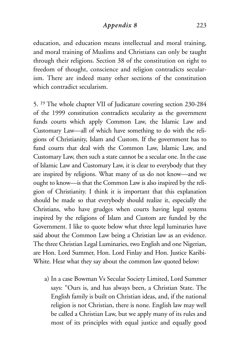### *Appendix 8* 223

education, and education means intellectual and moral training, and moral training of Muslims and Christians can only be taught through their religions. Section 38 of the constitution on right to freedom of thought, conscience and religion contradicts secularism. There are indeed many other sections of the constitution which contradict secularism.

5. 19 The whole chapter VII of Judicature covering section 230-284 of the 1999 constitution contradicts secularity as the government funds courts which apply Common Law, the Islamic Law and Customary Law—all of which have something to do with the religions of Christianity, Islam and Custom. If the government has to fund courts that deal with the Common Law, Islamic Law, and Customary Law, then such a state cannot be a secular one. In the case of Islamic Law and Customary Law, it is clear to everybody that they are inspired by religions. What many of us do not know—and we ought to know—is that the Common Law is also inspired by the religion of Christianity. I think it is important that this explanation should be made so that everybody should realize it, especially the Christians, who have grudges when courts having legal systems inspired by the religions of Islam and Custom are funded by the Government. I like to quote below what three legal luminaries have said about the Common Law being a Christian law as an evidence. The three Christian Legal Luminaries, two English and one Nigerian, are Hon. Lord Summer, Hon. Lord Finlay and Hon. Justice Karibi-White. Hear what they say about the common law quoted below:

a) In a case Bowman Vs Secular Society Limited, Lord Summer says: "Ours is, and has always been, a Christian State. The English family is built on Christian ideas, and, if the national religion is not Christian, there is none. English law may well be called a Christian Law, but we apply many of its rules and most of its principles with equal justice and equally good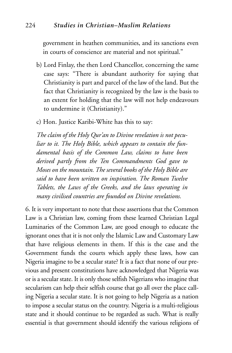government in heathen communities, and its sanctions even in courts of conscience are material and not spiritual."

- b) Lord Finlay, the then Lord Chancellor, concerning the same case says: "There is abundant authority for saying that Christianity is part and parcel of the law of the land. But the fact that Christianity is recognized by the law is the basis to an extent for holding that the law will not help endeavours to undermine it (Christianity)."
- c) Hon. Justice Karibi-White has this to say:

*The claim of the Holy Qur'an to Divine revelation is not peculiar to it. The Holy Bible, which appears to contain the fundamental basis of the Common Law, claims to have been derived partly from the Ten Commandments God gave to Moses on the mountain. The several books of the Holy Bible are said to have been written on inspiration. The Roman Twelve Tablets, the Laws of the Greeks, and the laws operating in many civilised countries are founded on Divine revelations.*

6. It is very important to note that these assertions that the Common Law is a Christian law, coming from these learned Christian Legal Luminaries of the Common Law, are good enough to educate the ignorant ones that it is not only the Islamic Law and Customary Law that have religious elements in them. If this is the case and the Government funds the courts which apply these laws, how can Nigeria imagine to be a secular state? It is a fact that none of our previous and present constitutions have acknowledged that Nigeria was or is a secular state. It is only those selfish Nigerians who imagine that secularism can help their selfish course that go all over the place calling Nigeria a secular state. It is not going to help Nigeria as a nation to impose a secular status on the country. Nigeria is a multi-religious state and it should continue to be regarded as such. What is really essential is that government should identify the various religions of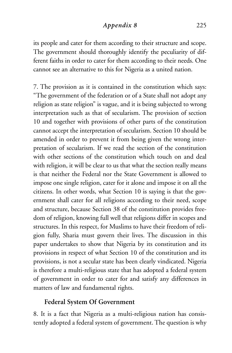### *Appendix 8* 225

its people and cater for them according to their structure and scope. The government should thoroughly identify the peculiarity of different faiths in order to cater for them according to their needs. One cannot see an alternative to this for Nigeria as a united nation.

7. The provision as it is contained in the constitution which says: "The government of the federation or of a State shall not adopt any religion as state religion" is vague, and it is being subjected to wrong interpretation such as that of secularism. The provision of section 10 and together with provisions of other parts of the constitution cannot accept the interpretation of secularism. Section 10 should be amended in order to prevent it from being given the wrong interpretation of secularism. If we read the section of the constitution with other sections of the constitution which touch on and deal with religion, it will be clear to us that what the section really means is that neither the Federal nor the State Government is allowed to impose one single religion, cater for it alone and impose it on all the citizens. In other words, what Section 10 is saying is that the government shall cater for all religions according to their need, scope and structure, because Section 38 of the constitution provides freedom of religion, knowing full well that religions differ in scopes and structures. In this respect, for Muslims to have their freedom of religion fully, Sharia must govern their lives. The discussion in this paper undertakes to show that Nigeria by its constitution and its provisions in respect of what Section 10 of the constitution and its provisions, is not a secular state has been clearly vindicated. Nigeria is therefore a multi-religious state that has adopted a federal system of government in order to cater for and satisfy any differences in matters of law and fundamental rights.

## **Federal System Of Government**

8. It is a fact that Nigeria as a multi-religious nation has consistently adopted a federal system of government. The question is why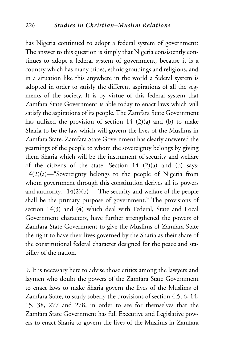has Nigeria continued to adopt a federal system of government? The answer to this question is simply that Nigeria consistently continues to adopt a federal system of government, because it is a country which has many tribes, ethnic groupings and religions, and in a situation like this anywhere in the world a federal system is adopted in order to satisfy the different aspirations of all the segments of the society. It is by virtue of this federal system that Zamfara State Government is able today to enact laws which will satisfy the aspirations of its people. The Zamfara State Government has utilized the provision of section  $14$  (2)(a) and (b) to make Sharia to be the law which will govern the lives of the Muslims in Zamfara State. Zamfara State Government has clearly answered the yearnings of the people to whom the sovereignty belongs by giving them Sharia which will be the instrument of security and welfare of the citizens of the state. Section  $14$   $(2)(a)$  and  $(b)$  says: 14(2)(a)—"Sovereignty belongs to the people of Nigeria from whom government through this constitution derives all its powers and authority." 14(2)(b)—"The security and welfare of the people shall be the primary purpose of government." The provisions of section 14(3) and (4) which deal with Federal, State and Local Government characters, have further strengthened the powers of Zamfara State Government to give the Muslims of Zamfara State the right to have their lives governed by the Sharia as their share of the constitutional federal character designed for the peace and stability of the nation.

9. It is necessary here to advise those critics among the lawyers and laymen who doubt the powers of the Zamfara State Government to enact laws to make Sharia govern the lives of the Muslims of Zamfara State, to study soberly the provisions of section 4,5, 6, 14, 15, 38, 277 and 278, in order to see for themselves that the Zamfara State Government has full Executive and Legislative powers to enact Sharia to govern the lives of the Muslims in Zamfara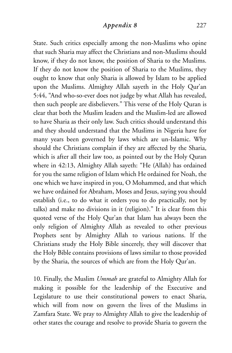State. Such critics especially among the non-Muslims who opine that such Sharia may affect the Christians and non-Muslims should know, if they do not know, the position of Sharia to the Muslims. If they do not know the position of Sharia to the Muslims, they ought to know that only Sharia is allowed by Islam to be applied upon the Muslims. Almighty Allah sayeth in the Holy Qur'an 5:44, "And who-so-ever does not judge by what Allah has revealed, then such people are disbelievers." This verse of the Holy Quran is clear that both the Muslim leaders and the Muslim-led are allowed to have Sharia as their only law. Such critics should understand this and they should understand that the Muslims in Nigeria have for many years been governed by laws which are un-Islamic. Why should the Christians complain if they are affected by the Sharia, which is after all their law too, as pointed out by the Holy Quran where in 42:13, Almighty Allah sayeth: "He (Allah) has ordained for you the same religion of Islam which He ordained for Noah, the one which we have inspired in you, O Mohammed, and that which we have ordained for Abraham, Moses and Jesus, saying you should establish (i.e., to do what it orders you to do practically, not by talks) and make no divisions in it (religion)." It is clear from this quoted verse of the Holy Qur'an that Islam has always been the only religion of Almighty Allah as revealed to other previous Prophets sent by Almighty Allah to various nations. If the Christians study the Holy Bible sincerely, they will discover that the Holy Bible contains provisions of laws similar to those provided by the Sharia, the sources of which are from the Holy Qur'an.

10. Finally, the Muslim *Ummah* are grateful to Almighty Allah for making it possible for the leadership of the Executive and Legislature to use their constitutional powers to enact Sharia, which will from now on govern the lives of the Muslims in Zamfara State. We pray to Almighty Allah to give the leadership of other states the courage and resolve to provide Sharia to govern the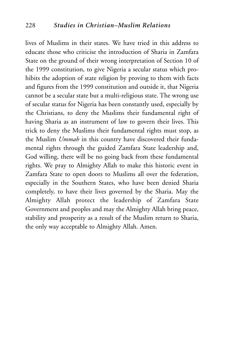lives of Muslims in their states. We have tried in this address to educate those who criticise the introduction of Sharia in Zamfara State on the ground of their wrong interpretation of Section 10 of the 1999 constitution, to give Nigeria a secular status which prohibits the adoption of state religion by proving to them with facts and figures from the 1999 constitution and outside it, that Nigeria cannot be a secular state but a multi-religious state. The wrong use of secular status for Nigeria has been constantly used, especially by the Christians, to deny the Muslims their fundamental right of having Sharia as an instrument of law to govern their lives. This trick to deny the Muslims their fundamental rights must stop, as the Muslim *Ummah* in this country have discovered their fundamental rights through the guided Zamfara State leadership and, God willing, there will be no going back from these fundamental rights. We pray to Almighty Allah to make this historic event in Zamfara State to open doors to Muslims all over the federation, especially in the Southern States, who have been denied Sharia completely, to have their lives governed by the Sharia. May the Almighty Allah protect the leadership of Zamfara State Government and peoples and may the Almighty Allah bring peace, stability and prosperity as a result of the Muslim return to Sharia, the only way acceptable to Almighty Allah. Amen.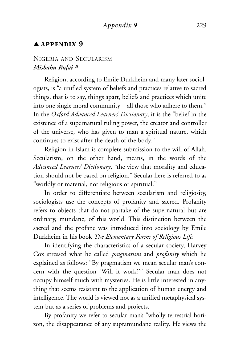## $\triangle$  Appendix 9

#### NIGERIA AND SECULARISM *Misbahu Rufai* <sup>20</sup>

Religion, according to Emile Durkheim and many later sociologists, is "a unified system of beliefs and practices relative to sacred things, that is to say, things apart, beliefs and practices which unite into one single moral community—all those who adhere to them." In the *Oxford Advanced Learners' Dictionary*, it is the "belief in the existence of a supernatural ruling power, the creator and controller of the universe, who has given to man a spiritual nature, which continues to exist after the death of the body."

Religion in Islam is complete submission to the will of Allah. Secularism, on the other hand, means, in the words of the *Advanced Learners' Dictionary*, "the view that morality and education should not be based on religion." Secular here is referred to as "worldly or material, not religious or spiritual."

In order to differentiate between secularism and religiosity, sociologists use the concepts of profanity and sacred. Profanity refers to objects that do not partake of the supernatural but are ordinary, mundane, of this world. This distinction between the sacred and the profane was introduced into sociology by Emile Durkheim in his book *The Elementary Forms of Religious Life.*

In identifying the characteristics of a secular society, Harvey Cox stressed what he called *pragmatism* and *profanity* which he explained as follows: "By pragmatism we mean secular man's concern with the question 'Will it work?'" Secular man does not occupy himself much with mysteries. He is little interested in anything that seems resistant to the application of human energy and intelligence. The world is viewed not as a unified metaphysical system but as a series of problems and projects.

By profanity we refer to secular man's "wholly terrestrial horizon, the disappearance of any supramundane reality. He views the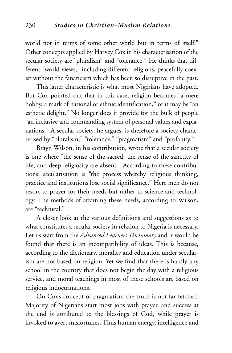world not in terms of some other world but in terms of itself." Other concepts applied by Harvey Cox in his characterisation of the secular society are "pluralism" and "tolerance." He thinks that different "world views," including different religions, peacefully coexist without the fanaticism which has been so disruptive in the past.

This latter characteristic is what most Nigerians have adopted. But Cox pointed out that in this case, religion becomes "a mere hobby, a mark of national or ethnic identification," or it may be "an esthetic delight." No longer does it provide for the bulk of people "an inclusive and commanding system of personal values and explanations." A secular society, he argues, is therefore a society characterised by "pluralism," "tolerance," "pragmatism" and "profanity."

Brayn Wilson, in his contribution, wrote that a secular society is one where "the sense of the sacred, the sense of the sanctity of life, and deep religiosity are absent." According to these contributions, secularisation is "the process whereby religious thinking, practice and institutions lose social significance." Here men do not resort to prayer for their needs but rather to science and technology. The methods of attaining these needs, according to Wilson, are "technical."

A closer look at the various definitions and suggestions as to what constitutes a secular society in relation to Nigeria is necessary. Let us start from the *Advanced Learners' Dictionary* and it would be found that there is an incompatibility of ideas. This is because, according to the dictionary, morality and education under secularism are not based on religion. Yet we find that there is hardly any school in the country that does not begin the day with a religious service, and moral teachings in most of these schools are based on religious indoctrinations.

On Cox's concept of pragmatism the truth is not far fetched. Majority of Nigerians start most jobs with prayer, and success at the end is attributed to the blessings of God, while prayer is invoked to avert misfortunes. Thus human energy, intelligence and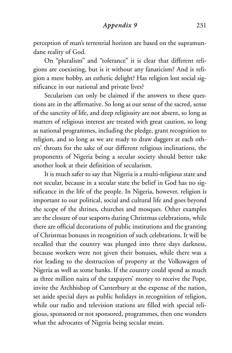*Appendix 9* 231

perception of man's terrestrial horizon are based on the supramundane reality of God.

On "pluralism" and "tolerance" it is clear that different religions are coexisting, but is it without any fanaticism? And is religion a mere hobby, an esthetic delight? Has religion lost social significance in our national and private lives?

Secularism can only be claimed if the answers to these questions are in the affirmative. So long as our sense of the sacred, sense of the sanctity of life, and deep religiosity are not absent, so long as matters of religious interest are treated with great caution, so long as national programmes, including the pledge, grant recognition to religion, and so long as we are ready to draw daggers at each others' throats for the sake of our different religious inclinations, the proponents of Nigeria being a secular society should better take another look at their definition of secularism.

It is much safer to say that Nigeria is a multi-religious state and not secular, because in a secular state the belief in God has no significance in the life of the people. In Nigeria, however, religion is important to our political, social and cultural life and goes beyond the scope of the shrines, churches and mosques. Other examples are the closure of our seaports during Christmas celebrations, while there are official decorations of public institutions and the granting of Christmas bonuses in recognition of such celebrations. It will be recalled that the country was plunged into three days darkness, because workers were not given their bonuses, while there was a riot leading to the destruction of property at the Volkswagen of Nigeria as well as some banks. If the country could spend as much as three million naira of the taxpayers' money to receive the Pope, invite the Archbishop of Canterbury at the expense of the nation, set aside special days as public holidays in recognition of religion, while our radio and television stations are filled with special religious, sponsored or not sponsored, programmes, then one wonders what the advocates of Nigeria being secular mean.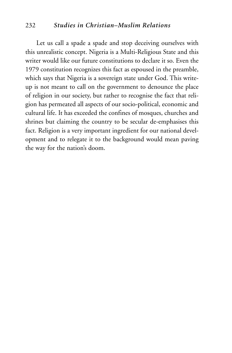#### 232 *Studies in Christian–Muslim Relations*

Let us call a spade a spade and stop deceiving ourselves with this unrealistic concept. Nigeria is a Multi-Religious State and this writer would like our future constitutions to declare it so. Even the 1979 constitution recognizes this fact as espoused in the preamble, which says that Nigeria is a sovereign state under God. This writeup is not meant to call on the government to denounce the place of religion in our society, but rather to recognise the fact that religion has permeated all aspects of our socio-political, economic and cultural life. It has exceeded the confines of mosques, churches and shrines but claiming the country to be secular de-emphasises this fact. Religion is a very important ingredient for our national development and to relegate it to the background would mean paving the way for the nation's doom.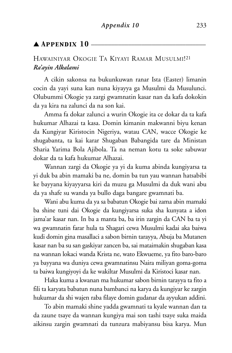### $\blacktriangle$   ${\tt APPENDIX}$   $10-$

# HAWAINIYAR OKOGIE TA KIYAYI RAMAR MUSULMI!21 *Ra'ayin Alkalami*

A cikin sakonsa na bukunkuwan ranar Ista (Easter) limanin cocin da yayi suna kan nuna kiyayya ga Musulmi da Musulunci. Olubummi Okogie ya zargi gwamnatin kasar nan da kafa dokokin da ya kira na zalunci da na son kai.

Amma fa dokar zalunci a wurin Okogie ita ce dokar da ta kafa hukumar Alhazai ta kasa. Domin kimanin makwanni biyu kenan da Kungiyar Kiristocin Nigeriya, watau CAN, wacce Okogie ke shugabanta, ta kai karar Shugaban Babangida tare da Ministan Sharia Yarima Bola Ajibola. Ta na neman kotu ta soke sabuwar dokar da ta kafa hukumar Alhazai.

Wannan zargi da Okogie ya yi da kuma abinda kungiyarsa ta yi duk ba abin mamaki ba ne, domin ba tun yau wannan hatsabibi ke bayyana kiyayyarsa kiri da muzu ga Musulmi da duk wani abu da ya shafe su wanda ya bullo daga bangare gwamnati ba.

Wani abu kuma da ya sa babatun Okogie bai zama abin mamaki ba shine tuni dai Okogie da kungiyarsa suka sha kunyata a idon jama'ar kasar nan. In ba a manta ba, ba irin zargin da CAN ba ta yi wa gwamnatin farar hula ta Shagari cewa Musulmi kadai aka baiwa kudi domin gina masallaci a sabon birnin tarayya, Abuja ba Mutanen kasar nan ba su san gaskiyar zancen ba, sai mataimakin shugaban kasa na wannan lokaci wanda Krista ne, wato Ekwueme, ya fito baro-baro ya bayyana wa duniya cewa gwamnatinsu Naira miliyan goma-goma ta baiwa kungiyoyi da ke wakiltar Musulmi da Kiristoci kasar nan.

Haka kuma a kwanan ma hukumar sabon birnin tarayya ta fito a fili ta karyata babatun nuna bambanci na karya da kungiyar ke zargin hukumar da shi wajen raba filaye domin gudanar da ayyukan addini.

To abin mamaki shine yadda gwamnati ta kyale wannan dan ta da zaune tsaye da wannan kungiya mai son tashi tsaye suka maida aikinsu zargin gwamnati da tunzura mabiyansu bisa karya. Mun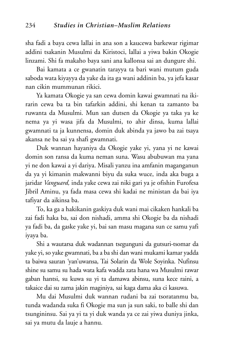sha fadi a baya cewa lallai in ana son a kaucewa barkewar rigimar addini tsakanin Musulmi da Kiristoci, lallai a yiwa bakin Okogie linzami. Shi fa makaho baya sani ana kallonsa sai an dungure shi.

Bai kamata a ce gwanatin tarayya ta bari wani mutum guda saboda wata kiyayya da yake da ita ga wani addinin ba, ya jefa kasar nan cikin mummunan rikici.

Ya kamata Okogie ya san cewa domin kawai gwamnati na ikirarin cewa ba ta bin tafarkin addini, shi kenan ta zamanto ba ruwanta da Musulmi. Mun san dutsen da Okogie ya taka ya ke nema ya yi wasa jifa da Musulmi, to ahir dinsa, kuma lallai gwamnati ta ja kunnensa, domin duk abinda ya jawo ba zai tsaya akansa ne ba sai ya shafi gwamnati.

Duk wannan hayaniya da Okogie yake yi, yana yi ne kawai domin son ransa da kuma neman suna. Wasu abubuwan ma yana yi ne don kawai a yi dariya. Misali yanzu ina amfanin maganganun da ya yi kimanin makwanni biyu da suka wuce, inda aka buga a jaridar *Vanguard,* inda yake cewa zai niki gari ya je ofishin Furofesa Jibril Aminu, ya fada masa cewa shi kadai ne ministan da bai iya tafiyar da aikinsa ba.

To, ka ga a hakikanin gaskiya duk wani mai cikaken hankali ba zai fadi haka ba, sai don nishadi, amma shi Okogie ba da nishadi ya fadi ba, da gaske yake yi, bai san masu magana sun ce samu yafi iyaya ba.

Shi a wautarsa duk wadannan tsegunguni da gutsuri-tsomar da yake yi, so yake gwamnati, ba a ba shi dan wani mukami kamar yadda ta baiwa sauran 'yan'uwansa, Tai Solarin da Wole Soyinka. Nufinsu shine su samu su hada wata kafa wadda zata hana wa Musulmi rawar gaban hantsi, su kuwa su yi ta damawa abinsu, suna kece raini, a takaice dai su zama jakin maginiya, sai kaga dama aka ci kasuwa.

Mu dai Musulmi duk wannan rudani ba zai tsoratanmu ba, tunda wadanda suka fi Okogie ma sun ja sun saki, to balle shi dan tsungininsu. Sai ya yi ta yi duk wanda ya ce zai yiwa duniya jinka, sai ya mutu da lauje a hannu.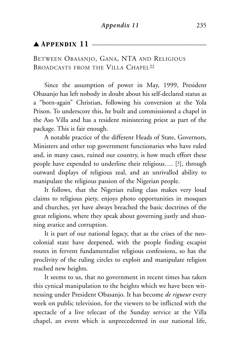### $\blacktriangle$  Appendix 11  $-$

BETWEEN OBASANJO, GANA, NTA AND RELIGIOUS BROADCASTS FROM THE VILLA CHAPEL<sup>22</sup>

Since the assumption of power in May, 1999, President Obasanjo has left nobody in doubt about his self-declared status as a "born-again" Christian, following his conversion at the Yola Prison. To underscore this, he built and commissioned a chapel in the Aso Villa and has a resident ministering priest as part of the package. This is fair enough.

A notable practice of the different Heads of State, Governors, Ministers and other top government functionaries who have ruled and, in many cases, ruined our country, is how much effort these people have expended to underline their religious…. [?], through outward displays of religious zeal, and an unrivalled ability to manipulate the religious passion of the Nigerian people.

It follows, that the Nigerian ruling class makes very loud claims to religious piety, enjoys photo opportunities in mosques and churches, yet have always breached the basic doctrines of the great religions, where they speak about governing justly and shunning avarice and corruption.

It is part of our national legacy, that as the crises of the neocolonial state have deepened, with the people finding escapist routes in fervent fundamentalist religious confessions, so has the proclivity of the ruling circles to exploit and manipulate religion reached new heights.

It seems to us, that no government in recent times has taken this cynical manipulation to the heights which we have been witnessing under President Obasanjo. It has become *de rigueur* every week on public television, for the viewers to be inflicted with the spectacle of a live telecast of the Sunday service at the Villa chapel, an event which is unprecedented in our national life,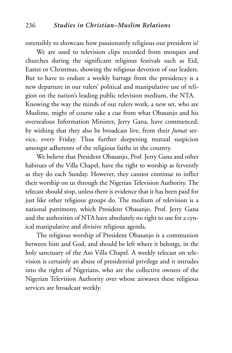ostensibly to showcase how passionately religious our president is!

We are used to television clips recorded from mosques and churches during the significant religious festivals such as Eid, Easter or Christmas, showing the religious devotion of our leaders. But to have to endure a weekly barrage from the presidency is a new departure in our rulers' political and manipulative use of religion on the nation's leading public television medium, the NTA. Knowing the way the minds of our rulers work, a new set, who are Muslims, might of course take a cue from what Obasanjo and his overzealous Information Minister, Jerry Gana, have commenced, by wishing that they also be broadcast live, from their *Jumat* service, every Friday. Thus further deepening mutual suspicion amongst adherents of the religious faiths in the country.

We believe that President Obasanjo, Prof. Jerry Gana and other habitues of the Villa Chapel, have the right to worship as fervently as they do each Sunday. However, they cannot continue to inflict their worship on us through the Nigerian Television Authority. The telecast should stop, unless there is evidence that it has been paid for just like other religious groups do. The medium of television is a national patrimony, which President Obasanjo, Prof. Jerry Gana and the authorities of NTA have absolutely no right to use for a cynical manipulative and divisive religious agenda.

The religious worship of President Obasanjo is a communion between him and God, and should be left where it belongs, in the holy sanctuary of the Aso Villa Chapel. A weekly telecast on television is certainly an abuse of presidential privilege and it intrudes into the rights of Nigerians, who are the collective owners of the Nigerian Television Authority over whose airwaves these religious services are broadcast weekly.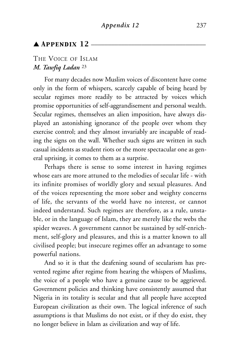#### $\triangle$  Appendix 12  $\equiv$

#### THE VOICE OF ISLAM *M. Tawfiq Ladan* <sup>23</sup>

For many decades now Muslim voices of discontent have come only in the form of whispers, scarcely capable of being heard by secular regimes more readily to be attracted by voices which promise opportunities of self-aggrandisement and personal wealth. Secular regimes, themselves an alien imposition, have always displayed an astonishing ignorance of the people over whom they exercise control; and they almost invariably are incapable of reading the signs on the wall. Whether such signs are written in such casual incidents as student riots or the more spectacular one as general uprising, it comes to them as a surprise.

Perhaps there is sense to some interest in having regimes whose ears are more attuned to the melodies of secular life - with its infinite promises of worldly glory and sexual pleasures. And of the voices representing the more sober and weighty concerns of life, the servants of the world have no interest, or cannot indeed understand. Such regimes are therefore, as a rule, unstable, or in the language of Islam, they are merely like the webs the spider weaves. A government cannot be sustained by self-enrichment, self-glory and pleasures, and this is a matter known to all civilised people; but insecure regimes offer an advantage to some powerful nations.

And so it is that the deafening sound of secularism has prevented regime after regime from hearing the whispers of Muslims, the voice of a people who have a genuine cause to be aggrieved. Government policies and thinking have consistently assumed that Nigeria in its totality is secular and that all people have accepted European civilization as their own. The logical inference of such assumptions is that Muslims do not exist, or if they do exist, they no longer believe in Islam as civilization and way of life.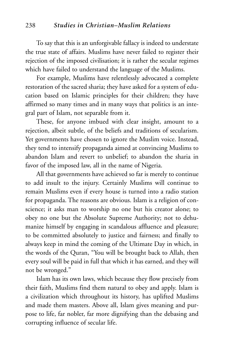To say that this is an unforgivable fallacy is indeed to understate the true state of affairs. Muslims have never failed to register their rejection of the imposed civilisation; it is rather the secular regimes which have failed to understand the language of the Muslims.

For example, Muslims have relentlessly advocated a complete restoration of the sacred sharia; they have asked for a system of education based on Islamic principles for their children; they have affirmed so many times and in many ways that politics is an integral part of Islam, not separable from it.

These, for anyone imbued with clear insight, amount to a rejection, albeit subtle, of the beliefs and traditions of secularism. Yet governments have chosen to ignore the Muslim voice. Instead, they tend to intensify propaganda aimed at convincing Muslims to abandon Islam and revert to unbelief; to abandon the sharia in favor of the imposed law, all in the name of Nigeria.

All that governments have achieved so far is merely to continue to add insult to the injury. Certainly Muslims will continue to remain Muslims even if every house is turned into a radio station for propaganda. The reasons are obvious. Islam is a religion of conscience; it asks man to worship no one but his creator alone; to obey no one but the Absolute Supreme Authority; not to dehumanize himself by engaging in scandalous affluence and pleasure; to be committed absolutely to justice and fairness; and finally to always keep in mind the coming of the Ultimate Day in which, in the words of the Quran, "You will be brought back to Allah, then every soul will be paid in full that which it has earned, and they will not be wronged."

Islam has its own laws, which because they flow precisely from their faith, Muslims find them natural to obey and apply. Islam is a civilization which throughout its history, has uplifted Muslims and made them masters. Above all, Islam gives meaning and purpose to life, far nobler, far more dignifying than the debasing and corrupting influence of secular life.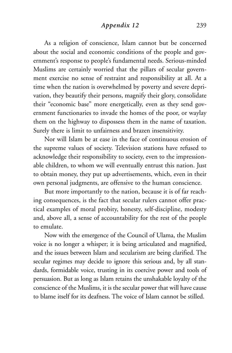#### *Appendix 12* 239

As a religion of conscience, Islam cannot but be concerned about the social and economic conditions of the people and government's response to people's fundamental needs. Serious-minded Muslims are certainly worried that the pillars of secular government exercise no sense of restraint and responsibility at all. At a time when the nation is overwhelmed by poverty and severe deprivation, they beautify their persons, magnify their glory, consolidate their "economic base" more energetically, even as they send government functionaries to invade the homes of the poor, or waylay them on the highway to dispossess them in the name of taxation. Surely there is limit to unfairness and brazen insensitivity.

Nor will Islam be at ease in the face of continuous erosion of the supreme values of society. Television stations have refused to acknowledge their responsibility to society, even to the impressionable children, to whom we will eventually entrust this nation. Just to obtain money, they put up advertisements, which, even in their own personal judgments, are offensive to the human conscience.

But more importantly to the nation, because it is of far reaching consequences, is the fact that secular rulers cannot offer practical examples of moral probity, honesty, self-discipline, modesty and, above all, a sense of accountability for the rest of the people to emulate.

Now with the emergence of the Council of Ulama, the Muslim voice is no longer a whisper; it is being articulated and magnified, and the issues between Islam and secularism are being clarified. The secular regimes may decide to ignore this serious and, by all standards, formidable voice, trusting in its coercive power and tools of persuasion. But as long as Islam retains the unshakable loyalty of the conscience of the Muslims, it is the secular power that will have cause to blame itself for its deafness. The voice of Islam cannot be stilled.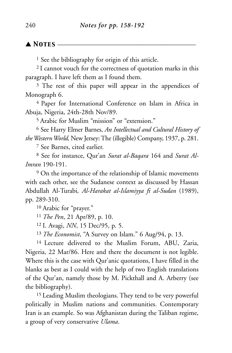#### $\blacktriangle$  **Notes**  $-$

<sup>1</sup> See the bibliography for origin of this article.

2 I cannot vouch for the correctness of quotation marks in this paragraph. I have left them as I found them.

<sup>3</sup> The rest of this paper will appear in the appendices of Monograph 6.

4 Paper for International Conference on Islam in Africa in Abuja, Nigeria, 24th-28th Nov/89.

5 Arabic for Muslim "mission" or "extension."

<sup>6</sup> See Harry Elmer Barnes, *An Intellectual and Cultural History of the Western World,* New Jersey: The (illegible) Company, 1937, p. 281.

<sup>7</sup> See Barnes, cited earlier.

<sup>8</sup> See for instance, Qur'an *Surat al-Baqara* 164 and *Surat Al-Imran* 190-191.

<sup>9</sup> On the importance of the relationship of Islamic movements with each other, see the Sudanese context as discussed by Hassan Abdullah Al-Turabi*, Al-Harakat al-Islamiyya fi al-Sudan* (1989), pp. 289-310.

10 Arabic for "prayer."

<sup>11</sup>*The Pen*, 21 Apr/89, p. 10.

12 I. Avagi, *NN*, 15 Dec/95, p. 5.

<sup>13</sup>*The Economist*, "A Survey on Islam." 6 Aug/94, p. 13.

14 Lecture delivered to the Muslim Forum, ABU, Zaria, Nigeria, 22 Mar/86. Here and there the document is not legible. Where this is the case with Qur'anic quotations, I have filled in the blanks as best as I could with the help of two English translations of the Qur'an, namely those by M. Pickthall and A. Arberry (see the bibliography).

15 Leading Muslim theologians. They tend to be very powerful politically in Muslim nations and communities. Contemporary Iran is an example. So was Afghanistan during the Taliban regime, a group of very conservative *Ulama*.